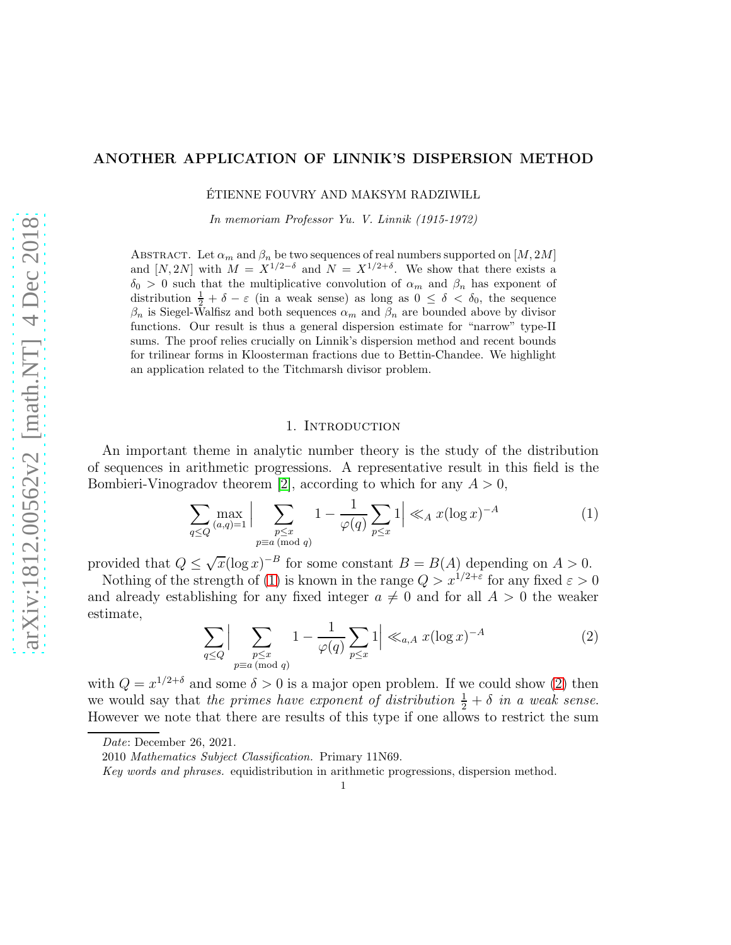# ANOTHER APPLICATION OF LINNIK'S DISPERSION METHOD

ÉTIENNE FOUVRY AND MAKSYM RADZIWIŁL

In memoriam Professor Yu. V. Linnik (1915-1972)

ABSTRACT. Let  $\alpha_m$  and  $\beta_n$  be two sequences of real numbers supported on  $[M, 2M]$ and [N, 2N] with  $M = X^{1/2-\delta}$  and  $N = X^{1/2+\delta}$ . We show that there exists a  $\delta_0 > 0$  such that the multiplicative convolution of  $\alpha_m$  and  $\beta_n$  has exponent of distribution  $\frac{1}{2} + \delta - \varepsilon$  (in a weak sense) as long as  $0 \le \delta < \delta_0$ , the sequence  $\beta_n$  is Siegel-Walfisz and both sequences  $\alpha_m$  and  $\beta_n$  are bounded above by divisor functions. Our result is thus a general dispersion estimate for "narrow" type-II sums. The proof relies crucially on Linnik's dispersion method and recent bounds for trilinear forms in Kloosterman fractions due to Bettin-Chandee. We highlight an application related to the Titchmarsh divisor problem.

### 1. INTRODUCTION

An important theme in analytic number theory is the study of the distribution of sequences in arithmetic progressions. A representative result in this field is the Bombieri-Vinogradov theorem [\[2\]](#page-17-0), according to which for any  $A > 0$ ,

<span id="page-0-0"></span>
$$
\sum_{q\leq Q} \max_{(a,q)=1} \Big| \sum_{\substack{p\leq x \\ p\equiv a \pmod{q}}} 1 - \frac{1}{\varphi(q)} \sum_{p\leq x} 1 \Big| \ll_A x (\log x)^{-A} \tag{1}
$$

provided that  $Q \leq \sqrt{x}(\log x)^{-B}$  for some constant  $B = B(A)$  depending on  $A > 0$ .

Nothing of the strength of [\(1\)](#page-0-0) is known in the range  $Q > x^{1/2+\epsilon}$  for any fixed  $\epsilon > 0$ and already establishing for any fixed integer  $a \neq 0$  and for all  $A > 0$  the weaker estimate,

<span id="page-0-1"></span>
$$
\sum_{q\leq Q} \Big|\sum_{\substack{p\leq x\\p\equiv a\,(\text{mod }q)}} 1 - \frac{1}{\varphi(q)} \sum_{p\leq x} 1\Big| \ll_{a,A} x(\log x)^{-A} \tag{2}
$$

with  $Q = x^{1/2+\delta}$  and some  $\delta > 0$  is a major open problem. If we could show [\(2\)](#page-0-1) then we would say that the primes have exponent of distribution  $\frac{1}{2} + \delta$  in a weak sense. However we note that there are results of this type if one allows to restrict the sum

Date: December 26, 2021.

<sup>2010</sup> Mathematics Subject Classification. Primary 11N69.

Key words and phrases. equidistribution in arithmetic progressions, dispersion method.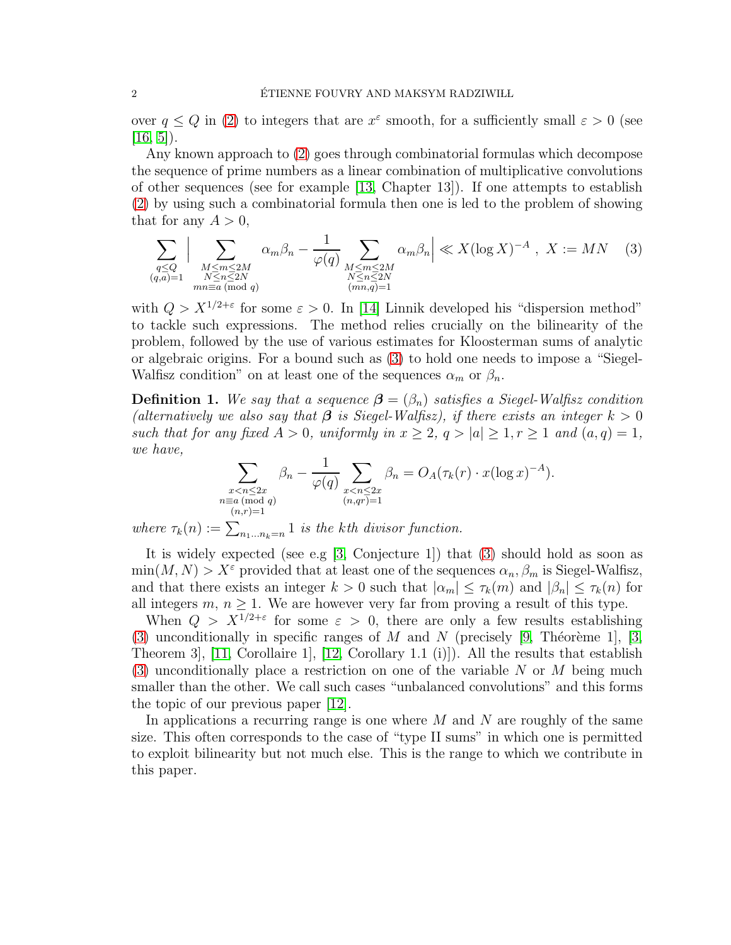over  $q \leq Q$  in [\(2\)](#page-0-1) to integers that are  $x^{\varepsilon}$  smooth, for a sufficiently small  $\varepsilon > 0$  (see  $[16, 5]$  $[16, 5]$ ).

Any known approach to [\(2\)](#page-0-1) goes through combinatorial formulas which decompose the sequence of prime numbers as a linear combination of multiplicative convolutions of other sequences (see for example [\[13,](#page-17-2) Chapter 13]). If one attempts to establish [\(2\)](#page-0-1) by using such a combinatorial formula then one is led to the problem of showing that for any  $A > 0$ ,

<span id="page-1-0"></span>
$$
\sum_{\substack{q\leq Q\\(q,a)=1}}\Big|\sum_{\substack{M\leq m\leq 2M\\N\leq n\leq 2N\\mn\equiv a\;(\text{mod }q)}}\alpha_m\beta_n - \frac{1}{\varphi(q)}\sum_{\substack{M\leq m\leq 2M\\N\leq n\leq 2N\\(mn,q)=1}}\alpha_m\beta_n\Big| \ll X(\log X)^{-A}, \; X:=MN \quad (3)
$$

with  $Q > X^{1/2+\epsilon}$  for some  $\epsilon > 0$ . In [\[14\]](#page-17-3) Linnik developed his "dispersion method" to tackle such expressions. The method relies crucially on the bilinearity of the problem, followed by the use of various estimates for Kloosterman sums of analytic or algebraic origins. For a bound such as [\(3\)](#page-1-0) to hold one needs to impose a "Siegel-Walfisz condition" on at least one of the sequences  $\alpha_m$  or  $\beta_n$ .

**Definition 1.** We say that a sequence  $\boldsymbol{\beta} = (\beta_n)$  satisfies a Siegel-Walfisz condition (alternatively we also say that  $\beta$  is Siegel-Walfisz), if there exists an integer  $k > 0$ such that for any fixed  $A > 0$ , uniformly in  $x \ge 2$ ,  $q > |a| \ge 1$ ,  $r \ge 1$  and  $(a,q) = 1$ , we have,

$$
\sum_{\substack{x < n \le 2x \\ n \equiv a \pmod{q} \\ (n,r)=1}} \beta_n - \frac{1}{\varphi(q)} \sum_{\substack{x < n \le 2x \\ (n,qr)=1}} \beta_n = O_A(\tau_k(r) \cdot x(\log x)^{-A}).
$$

where  $\tau_k(n) := \sum_{n_1...n_k=n} 1$  is the kth divisor function.

It is widely expected (see e.g [\[3,](#page-17-4) Conjecture 1]) that [\(3\)](#page-1-0) should hold as soon as  $\min(M, N) > X^{\varepsilon}$  provided that at least one of the sequences  $\alpha_n, \beta_m$  is Siegel-Walfisz, and that there exists an integer  $k > 0$  such that  $|\alpha_m| \leq \tau_k(m)$  and  $|\beta_n| \leq \tau_k(n)$  for all integers  $m, n \geq 1$ . We are however very far from proving a result of this type.

When  $Q > X^{1/2+\epsilon}$  for some  $\epsilon > 0$ , there are only a few results establishing [\(3\)](#page-1-0) unconditionally in specific ranges of M and N (precisely [\[9,](#page-17-5) Théorème 1], [\[3,](#page-17-4) Theorem 3], [\[11,](#page-17-6) Corollaire 1], [\[12,](#page-17-7) Corollary 1.1 (i)]). All the results that establish [\(3\)](#page-1-0) unconditionally place a restriction on one of the variable N or M being much smaller than the other. We call such cases "unbalanced convolutions" and this forms the topic of our previous paper [\[12\]](#page-17-7).

In applications a recurring range is one where  $M$  and  $N$  are roughly of the same size. This often corresponds to the case of "type II sums" in which one is permitted to exploit bilinearity but not much else. This is the range to which we contribute in this paper.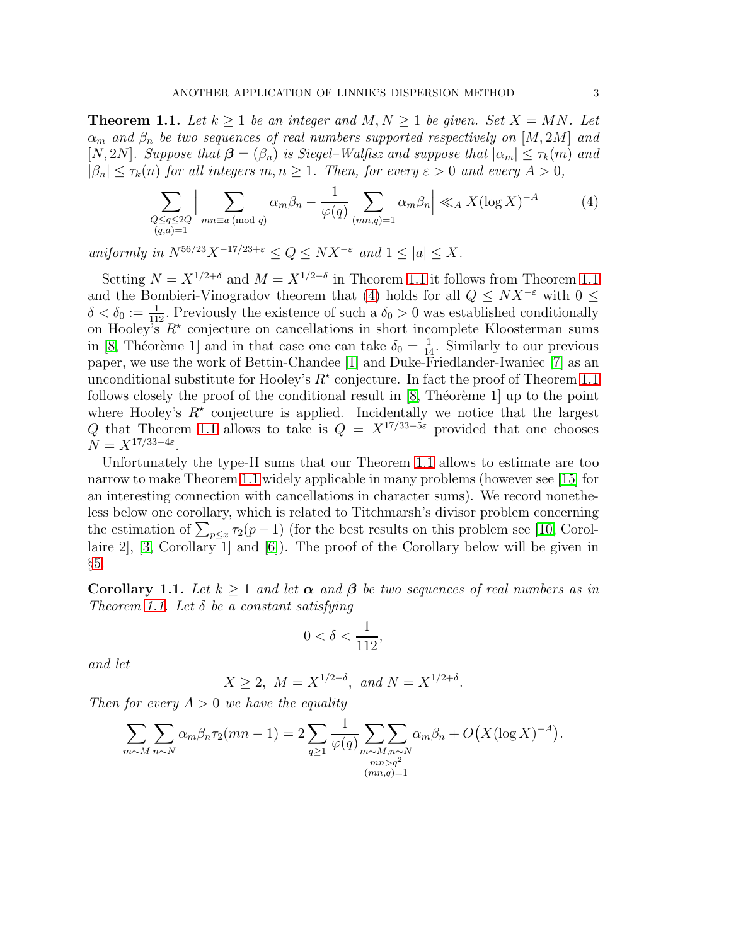<span id="page-2-0"></span>**Theorem 1.1.** Let  $k \geq 1$  be an integer and  $M, N \geq 1$  be given. Set  $X = MN$ . Let  $\alpha_m$  and  $\beta_n$  be two sequences of real numbers supported respectively on [M, 2M] and [N, 2N]. Suppose that  $\boldsymbol{\beta} = (\beta_n)$  is Siegel–Walfisz and suppose that  $|\alpha_m| \leq \tau_k(m)$  and  $|\beta_n| \leq \tau_k(n)$  for all integers  $m, n \geq 1$ . Then, for every  $\varepsilon > 0$  and every  $A > 0$ ,

<span id="page-2-1"></span>
$$
\sum_{\substack{Q \le q \le 2Q \\ (q,a)=1}} \Big| \sum_{mn \equiv a \pmod{q}} \alpha_m \beta_n - \frac{1}{\varphi(q)} \sum_{(mn,q)=1} \alpha_m \beta_n \Big| \ll_A X (\log X)^{-A} \tag{4}
$$

uniformly in  $N^{56/23}X^{-17/23+\varepsilon} \le Q \le N X^{-\varepsilon}$  and  $1 \le |a| \le X$ .

Setting  $N = X^{1/2+\delta}$  and  $M = X^{1/2-\delta}$  in Theorem [1.1](#page-2-0) it follows from Theorem 1.1 and the Bombieri-Vinogradov theorem that [\(4\)](#page-2-1) holds for all  $Q \leq N X^{-\varepsilon}$  with  $0 \leq$  $\delta < \delta_0 := \frac{1}{112}$ . Previously the existence of such a  $\delta_0 > 0$  was established conditionally on Hooley's  $R^*$  conjecture on cancellations in short incomplete Kloosterman sums in [\[8,](#page-17-8) Théorème 1] and in that case one can take  $\delta_0 = \frac{1}{14}$ . Similarly to our previous paper, we use the work of Bettin-Chandee [\[1\]](#page-17-9) and Duke-Friedlander-Iwaniec [\[7\]](#page-17-10) as an unconditional substitute for Hooley's  $R^*$  conjecture. In fact the proof of Theorem [1.1](#page-2-0) follows closely the proof of the conditional result in  $[8,$  Théorème 1] up to the point where Hooley's  $R^*$  conjecture is applied. Incidentally we notice that the largest Q that Theorem [1.1](#page-2-0) allows to take is  $Q = X^{17/33-5\varepsilon}$  provided that one chooses  $N = X^{17/33-4\varepsilon}.$ 

Unfortunately the type-II sums that our Theorem [1.1](#page-2-0) allows to estimate are too narrow to make Theorem [1.1](#page-2-0) widely applicable in many problems (however see [\[15\]](#page-18-1) for an interesting connection with cancellations in character sums). We record nonetheless below one corollary, which is related to Titchmarsh's divisor problem concerning the estimation of  $\sum_{p \leq x} \tau_2(p-1)$  (for the best results on this problem see [\[10,](#page-17-11) Corollaire 2], [\[3,](#page-17-4) Corollary 1] and [\[6\]](#page-17-12)). The proof of the Corollary below will be given in §[5.](#page-14-0)

<span id="page-2-2"></span>**Corollary 1.1.** Let  $k \geq 1$  and let  $\alpha$  and  $\beta$  be two sequences of real numbers as in Theorem [1.1.](#page-2-0) Let  $\delta$  be a constant satisfying

$$
0 < \delta < \frac{1}{112},
$$

and let

$$
X \ge 2
$$
,  $M = X^{1/2-\delta}$ , and  $N = X^{1/2+\delta}$ .

Then for every  $A > 0$  we have the equality

$$
\sum_{m \sim M} \sum_{n \sim N} \alpha_m \beta_n \tau_2(mn-1) = 2 \sum_{q \ge 1} \frac{1}{\varphi(q)} \sum_{\substack{m \sim M, n \sim N \\ mn > q^2}} \alpha_m \beta_n + O(X(\log X)^{-A}).
$$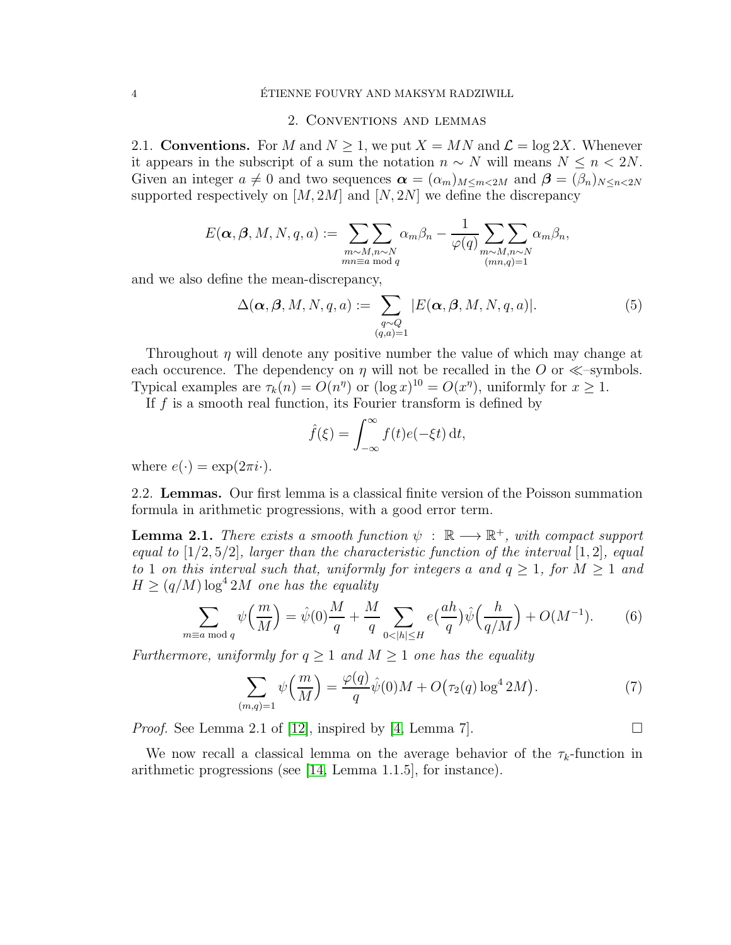### 2. Conventions and lemmas

2.1. Conventions. For M and  $N \geq 1$ , we put  $X = MN$  and  $\mathcal{L} = \log 2X$ . Whenever it appears in the subscript of a sum the notation  $n \sim N$  will means  $N \leq n < 2N$ . Given an integer  $a \neq 0$  and two sequences  $\boldsymbol{\alpha} = (\alpha_m)_{M \leq m < 2M}$  and  $\boldsymbol{\beta} = (\beta_n)_{N \leq n < 2N}$ supported respectively on  $[M, 2M]$  and  $[N, 2N]$  we define the discrepancy

$$
E(\boldsymbol{\alpha},\boldsymbol{\beta},M,N,q,a):=\sum_{\substack{m\sim M,n\sim N\\ mn\equiv a\bmod{q}}}\sum_{\substack{\alpha_m\beta_n-\frac{1}{\varphi(q)}}}\sum_{\substack{m\sim M,n\sim N\\ (mn,q)=1}}\alpha_m\beta_n,
$$

and we also define the mean-discrepancy,

<span id="page-3-0"></span>
$$
\Delta(\boldsymbol{\alpha}, \boldsymbol{\beta}, M, N, q, a) := \sum_{\substack{q \sim Q \\ (q, a) = 1}} |E(\boldsymbol{\alpha}, \boldsymbol{\beta}, M, N, q, a)|.
$$
 (5)

Throughout  $\eta$  will denote any positive number the value of which may change at each occurence. The dependency on  $\eta$  will not be recalled in the O or  $\ll$ -symbols. Typical examples are  $\tau_k(n) = O(n^n)$  or  $(\log x)^{10} = O(x^n)$ , uniformly for  $x \ge 1$ .

If  $f$  is a smooth real function, its Fourier transform is defined by

$$
\hat{f}(\xi) = \int_{-\infty}^{\infty} f(t)e(-\xi t) dt,
$$

where  $e(\cdot) = \exp(2\pi i \cdot)$ .

2.2. Lemmas. Our first lemma is a classical finite version of the Poisson summation formula in arithmetic progressions, with a good error term.

<span id="page-3-1"></span>**Lemma 2.1.** There exists a smooth function  $\psi : \mathbb{R} \longrightarrow \mathbb{R}^+$ , with compact support equal to  $[1/2, 5/2]$ , larger than the characteristic function of the interval  $[1, 2]$ , equal to 1 on this interval such that, uniformly for integers a and  $q \geq 1$ , for  $M \geq 1$  and  $H \geq (q/M) \log^4 2M$  one has the equality

<span id="page-3-3"></span>
$$
\sum_{m \equiv a \bmod q} \psi\left(\frac{m}{M}\right) = \hat{\psi}(0)\frac{M}{q} + \frac{M}{q} \sum_{0 < |h| \le H} e\left(\frac{ah}{q}\right)\hat{\psi}\left(\frac{h}{q/M}\right) + O(M^{-1}).\tag{6}
$$

Furthermore, uniformly for  $q \geq 1$  and  $M \geq 1$  one has the equality

<span id="page-3-2"></span>
$$
\sum_{(m,q)=1} \psi\left(\frac{m}{M}\right) = \frac{\varphi(q)}{q} \hat{\psi}(0)M + O\big(\tau_2(q) \log^4 2M\big). \tag{7}
$$

*Proof.* See Lemma 2.1 of [\[12\]](#page-17-7), inspired by [\[4,](#page-17-13) Lemma 7].

We now recall a classical lemma on the average behavior of the  $\tau_k$ -function in arithmetic progressions (see [\[14,](#page-17-3) Lemma 1.1.5], for instance).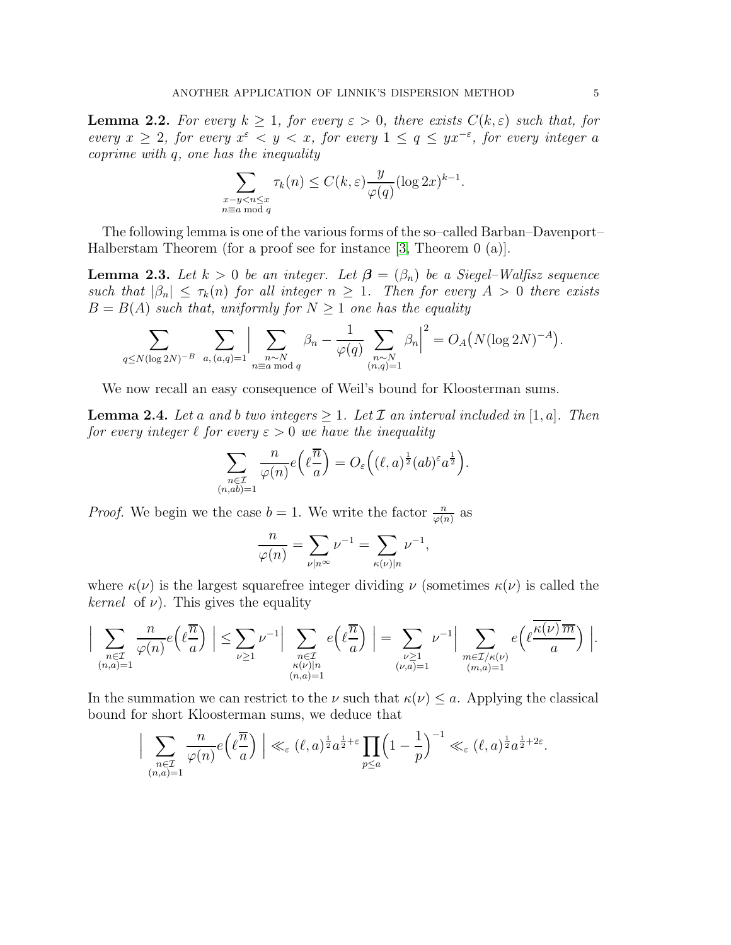<span id="page-4-1"></span>**Lemma 2.2.** For every  $k \geq 1$ , for every  $\varepsilon > 0$ , there exists  $C(k, \varepsilon)$  such that, for every  $x \geq 2$ , for every  $x^{\varepsilon} < y < x$ , for every  $1 \leq q \leq yx^{-\varepsilon}$ , for every integer a coprime with q, one has the inequality

$$
\sum_{\substack{x-y
$$

The following lemma is one of the various forms of the so–called Barban–Davenport– Halberstam Theorem (for a proof see for instance [\[3,](#page-17-4) Theorem 0 (a)].

<span id="page-4-2"></span>**Lemma 2.3.** Let  $k > 0$  be an integer. Let  $\boldsymbol{\beta} = (\beta_n)$  be a Siegel–Walfisz sequence such that  $|\beta_n| \leq \tau_k(n)$  for all integer  $n \geq 1$ . Then for every  $A > 0$  there exists  $B = B(A)$  such that, uniformly for  $N \geq 1$  one has the equality

$$
\sum_{q \le N(\log 2N)^{-B}} \sum_{a, (a,q)=1} \Big| \sum_{\substack{n \sim N \\ n \equiv a \bmod{q}}} \beta_n - \frac{1}{\varphi(q)} \sum_{\substack{n \sim N \\ (n,q)=1}} \beta_n \Big|^2 = O_A(N(\log 2N)^{-A}).
$$

We now recall an easy consequence of Weil's bound for Kloosterman sums.

<span id="page-4-0"></span>**Lemma 2.4.** Let a and b two integers  $\geq 1$ . Let  $\mathcal I$  an interval included in [1, a]. Then for every integer  $\ell$  for every  $\varepsilon > 0$  we have the inequality

$$
\sum_{\substack{n \in \mathcal{I} \\ (n,ab)=1}} \frac{n}{\varphi(n)} e\left(\ell \frac{\overline{n}}{a}\right) = O_{\varepsilon}\left((\ell,a)^{\frac{1}{2}} (ab)^{\varepsilon} a^{\frac{1}{2}}\right).
$$

*Proof.* We begin we the case  $b = 1$ . We write the factor  $\frac{n}{\varphi(n)}$  as

$$
\frac{n}{\varphi(n)} = \sum_{\nu \mid n^{\infty}} \nu^{-1} = \sum_{\kappa(\nu) \mid n} \nu^{-1},
$$

where  $\kappa(\nu)$  is the largest squarefree integer dividing  $\nu$  (sometimes  $\kappa(\nu)$  is called the *kernel* of  $\nu$ ). This gives the equality

$$
\Big| \sum_{\substack{n \in \mathcal{I} \\ (n,a)=1}} \frac{n}{\varphi(n)} e\left(\ell \frac{\overline{n}}{a}\right) \Big| \leq \sum_{\substack{\nu \geq 1 \\ \nu \geq 1}} \nu^{-1} \Big| \sum_{\substack{n \in \mathcal{I} \\ \kappa(\nu)|n \\ (n,a)=1}} e\left(\ell \frac{\overline{n}}{a}\right) \Big| = \sum_{\substack{\nu \geq 1 \\ (\nu,a)=1}} \nu^{-1} \Big| \sum_{\substack{m \in \mathcal{I}/\kappa(\nu) \\ (m,a)=1}} e\left(\ell \frac{\kappa(\nu)\,\overline{m}}{a}\right) \Big|.
$$

In the summation we can restrict to the  $\nu$  such that  $\kappa(\nu) \leq a$ . Applying the classical bound for short Kloosterman sums, we deduce that

$$
\Big|\sum_{\substack{n\in\mathcal{I}\\(n,a)=1}}\frac{n}{\varphi(n)}e\Big(\ell\frac{\overline{n}}{a}\Big)\Big|\ll_\varepsilon(\ell,a)^{\frac{1}{2}}a^{\frac{1}{2}+\varepsilon}\prod_{p\leq a}\Big(1-\frac{1}{p}\Big)^{-1}\ll_\varepsilon(\ell,a)^{\frac{1}{2}}a^{\frac{1}{2}+2\varepsilon}.
$$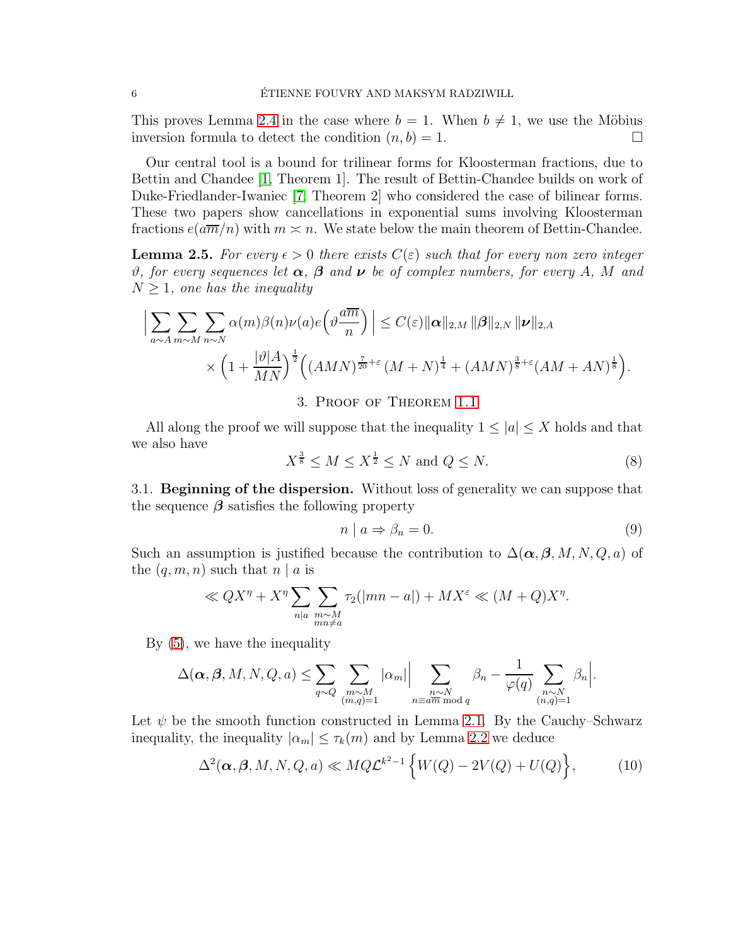This proves Lemma [2.4](#page-4-0) in the case where  $b = 1$ . When  $b \neq 1$ , we use the Möbius inversion formula to detect the condition  $(n, b) = 1$ . inversion formula to detect the condition  $(n, b) = 1$ .

Our central tool is a bound for trilinear forms for Kloosterman fractions, due to Bettin and Chandee [\[1,](#page-17-9) Theorem 1]. The result of Bettin-Chandee builds on work of Duke-Friedlander-Iwaniec [\[7,](#page-17-10) Theorem 2] who considered the case of bilinear forms. These two papers show cancellations in exponential sums involving Kloosterman fractions  $e(a\overline{m}/n)$  with  $m \asymp n$ . We state below the main theorem of Bettin-Chandee.

<span id="page-5-2"></span>**Lemma 2.5.** For every  $\epsilon > 0$  there exists  $C(\epsilon)$  such that for every non zero integer  $\vartheta$ , for every sequences let  $\alpha$ ,  $\beta$  and  $\nu$  be of complex numbers, for every A, M and  $N \geq 1$ , one has the inequality

$$
\Big| \sum_{a \sim A} \sum_{m \sim M} \sum_{n \sim N} \alpha(m) \beta(n) \nu(a) e\left(\vartheta \frac{a \overline{m}}{n}\right) \Big| \leq C(\varepsilon) \|\boldsymbol{\alpha}\|_{2,M} \|\boldsymbol{\beta}\|_{2,N} \|\boldsymbol{\nu}\|_{2,A}
$$
  
 
$$
\times \left(1 + \frac{|\vartheta|A}{MN}\right)^{\frac{1}{2}} \left( (AMN)^{\frac{7}{20} + \varepsilon} (M+N)^{\frac{1}{4}} + (AMN)^{\frac{3}{8} + \varepsilon} (AM+AN)^{\frac{1}{8}} \right).
$$

3. Proof of Theorem [1.1](#page-2-0)

All along the proof we will suppose that the inequality  $1 \leq |a| \leq X$  holds and that we also have

<span id="page-5-1"></span>
$$
X^{\frac{3}{8}} \le M \le X^{\frac{1}{2}} \le N \text{ and } Q \le N. \tag{8}
$$

3.1. **Beginning of the dispersion.** Without loss of generality we can suppose that the sequence  $\beta$  satisfies the following property

<span id="page-5-0"></span>
$$
n \mid a \Rightarrow \beta_n = 0. \tag{9}
$$

Such an assumption is justified because the contribution to  $\Delta(\boldsymbol{\alpha}, \boldsymbol{\beta}, M, N, Q, a)$  of the  $(q, m, n)$  such that  $n | a$  is

$$
\ll QX^{\eta} + X^{\eta} \sum_{n \mid a} \sum_{\substack{m \sim M \\ mn \neq a}} \tau_2(|mn - a|) + MX^{\varepsilon} \ll (M+Q)X^{\eta}.
$$

By [\(5\)](#page-3-0), we have the inequality

$$
\Delta(\boldsymbol{\alpha},\boldsymbol{\beta},M,N,Q,a) \leq \sum_{q \sim Q} \sum_{\substack{m \sim M \\ (m,q)=1}} |\alpha_m| \left| \sum_{\substack{n \sim N \\ n \equiv a\overline{m} \bmod{q}}} \beta_n - \frac{1}{\varphi(q)} \sum_{\substack{n \sim N \\ (n,q)=1}} \beta_n \right|.
$$

Let  $\psi$  be the smooth function constructed in Lemma [2.1.](#page-3-1) By the Cauchy–Schwarz inequality, the inequality  $|\alpha_m| \leq \tau_k(m)$  and by Lemma [2.2](#page-4-1) we deduce

<span id="page-5-3"></span>
$$
\Delta^2(\boldsymbol{\alpha}, \boldsymbol{\beta}, M, N, Q, a) \ll MQ\mathcal{L}^{k^2-1}\left\{W(Q) - 2V(Q) + U(Q)\right\},\tag{10}
$$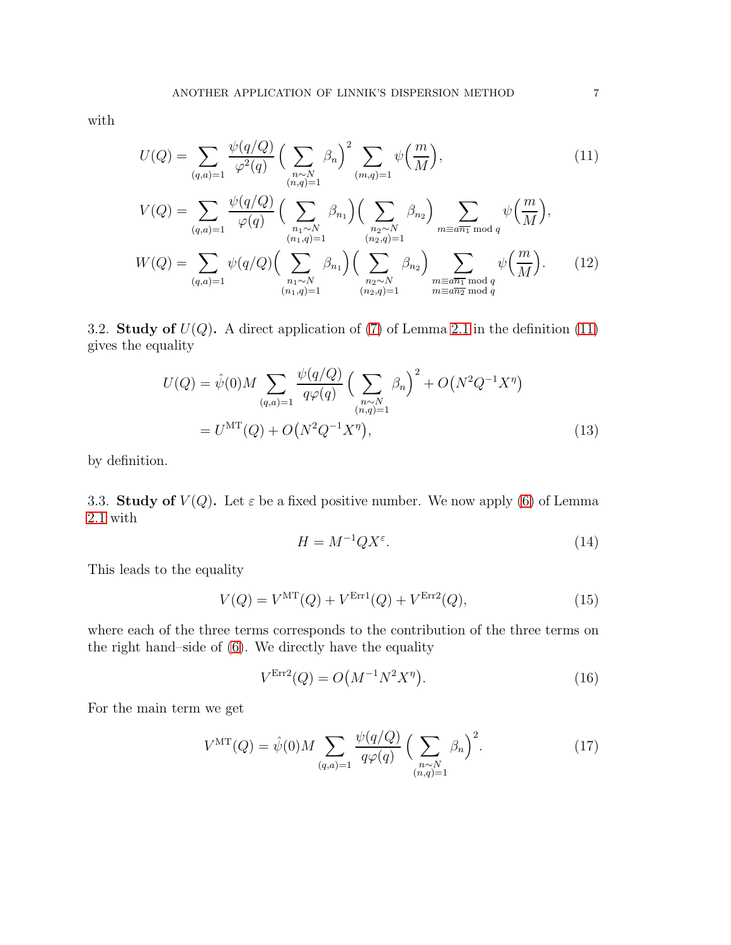with

<span id="page-6-0"></span>
$$
U(Q) = \sum_{(q,a)=1} \frac{\psi(q/Q)}{\varphi^2(q)} \left(\sum_{\substack{n \sim N \\ (n,q)=1}} \beta_n\right)^2 \sum_{(m,q)=1} \psi\left(\frac{m}{M}\right),\tag{11}
$$

$$
V(Q) = \sum_{(q,a)=1} \frac{\psi(q/Q)}{\varphi(q)} \Big( \sum_{\substack{n_1 \sim N \\ (n_1,q)=1}} \beta_{n_1} \Big) \Big( \sum_{\substack{n_2 \sim N \\ (n_2,q)=1}} \beta_{n_2} \Big) \sum_{\substack{m \equiv a\overline{n_1} \bmod q \\ (n_2,q)=1}} \psi\Big(\frac{m}{M}\Big),
$$
  

$$
W(Q) = \sum_{(q,a)=1} \psi(q/Q) \Big( \sum_{\substack{n_1 \sim N \\ (n_1,q)=1}} \beta_{n_1} \Big) \Big( \sum_{\substack{n_2 \sim N \\ (n_2,q)=1}} \beta_{n_2} \Big) \sum_{\substack{m \equiv a\overline{n_1} \bmod q \\ m \equiv a\overline{n_2} \bmod q}} \psi\Big(\frac{m}{M}\Big).
$$
 (12)

3.2. Study of  $U(Q)$ . A direct application of [\(7\)](#page-3-2) of Lemma [2.1](#page-3-1) in the definition [\(11\)](#page-6-0) gives the equality

$$
U(Q) = \hat{\psi}(0)M \sum_{(q,a)=1} \frac{\psi(q/Q)}{q\varphi(q)} \left(\sum_{\substack{n \sim N \\ (n,q)=1}} \beta_n\right)^2 + O\left(N^2 Q^{-1} X^{\eta}\right)
$$

$$
= U^{\rm MT}(Q) + O\left(N^2 Q^{-1} X^{\eta}\right), \tag{13}
$$

by definition.

3.3. Study of  $V(Q)$ . Let  $\varepsilon$  be a fixed positive number. We now apply [\(6\)](#page-3-3) of Lemma [2.1](#page-3-1) with

<span id="page-6-6"></span><span id="page-6-5"></span><span id="page-6-4"></span>
$$
H = M^{-1}QX^{\varepsilon}.
$$
\n(14)

This leads to the equality

<span id="page-6-1"></span>
$$
V(Q) = V^{\rm MT}(Q) + V^{\rm Err1}(Q) + V^{\rm Err2}(Q),\tag{15}
$$

where each of the three terms corresponds to the contribution of the three terms on the right hand–side of [\(6\)](#page-3-3). We directly have the equality

<span id="page-6-2"></span>
$$
V^{\text{Err2}}(Q) = O\big(M^{-1}N^2X^{\eta}\big). \tag{16}
$$

For the main term we get

<span id="page-6-3"></span>
$$
V^{\rm MT}(Q) = \hat{\psi}(0) M \sum_{(q,a)=1} \frac{\psi(q/Q)}{q\varphi(q)} \left(\sum_{\substack{n \sim N \\ (n,q)=1}} \beta_n\right)^2. \tag{17}
$$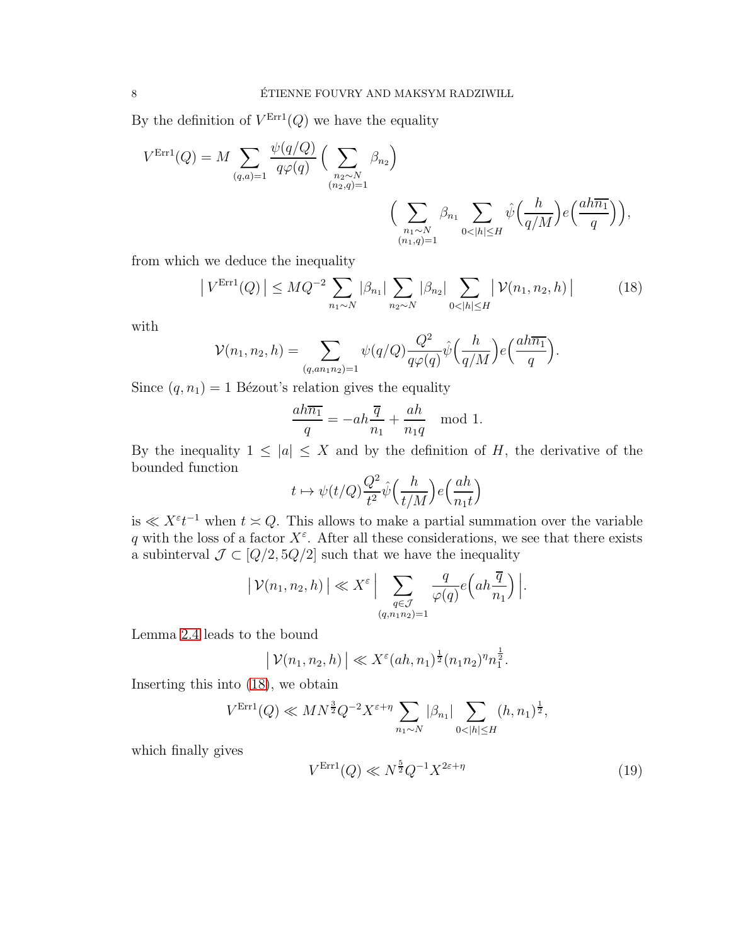By the definition of  $V^{\text{Err1}}(Q)$  we have the equality

$$
V^{\text{Err1}}(Q) = M \sum_{(q,a)=1} \frac{\psi(q/Q)}{q\varphi(q)} \Big( \sum_{\substack{n_2 \sim N \\ (n_2,q)=1}} \beta_{n_2} \Big)
$$

$$
\Big( \sum_{\substack{n_1 \sim N \\ (n_1,q)=1}} \beta_{n_1} \sum_{0 < |h| \le H} \hat{\psi}\Big(\frac{h}{q/M}\Big) e\Big(\frac{ah\overline{n_1}}{q}\Big) \Big),
$$

from which we deduce the inequality

<span id="page-7-0"></span>
$$
\left|V^{\text{Err1}}(Q)\right| \leq MQ^{-2} \sum_{n_1 \sim N} |\beta_{n_1}| \sum_{n_2 \sim N} |\beta_{n_2}| \sum_{0 < |h| \leq H} \left| \mathcal{V}(n_1, n_2, h) \right| \tag{18}
$$

with

$$
\mathcal{V}(n_1, n_2, h) = \sum_{(q, a n_1 n_2) = 1} \psi(q/Q) \frac{Q^2}{q\varphi(q)} \hat{\psi}\left(\frac{h}{q/M}\right) e\left(\frac{ah \overline{n_1}}{q}\right).
$$

Since  $(q, n_1) = 1$  Bézout's relation gives the equality

$$
\frac{ah\overline{n_1}}{q} = -ah\frac{\overline{q}}{n_1} + \frac{ah}{n_1q} \mod 1.
$$

By the inequality  $1 \leq |a| \leq X$  and by the definition of H, the derivative of the bounded function

$$
t \mapsto \psi(t/Q) \frac{Q^2}{t^2} \hat{\psi}\Big(\frac{h}{t/M}\Big) e\Big(\frac{ah}{n_1t}\Big)
$$

is  $\ll X^{\varepsilon}t^{-1}$  when  $t \approx Q$ . This allows to make a partial summation over the variable q with the loss of a factor  $X^{\varepsilon}$ . After all these considerations, we see that there exists a subinterval  $\mathcal{J} \subset [Q/2, 5Q/2]$  such that we have the inequality

$$
\left| \mathcal{V}(n_1, n_2, h) \right| \ll X^{\varepsilon} \Big| \sum_{\substack{q \in \mathcal{J} \\ (q, n_1 n_2) = 1}} \frac{q}{\varphi(q)} e\Big( a h \frac{\overline{q}}{n_1} \Big) \Big|.
$$

Lemma [2.4](#page-4-0) leads to the bound

$$
| \mathcal{V}(n_1, n_2, h) | \ll X^{\varepsilon} (ah, n_1)^{\frac{1}{2}} (n_1 n_2)^{\eta} n_1^{\frac{1}{2}}.
$$

Inserting this into [\(18\)](#page-7-0), we obtain

$$
V^{\text{Err1}}(Q) \ll MN^{\frac{3}{2}}Q^{-2}X^{\varepsilon+\eta} \sum_{n_1 \sim N} |\beta_{n_1}| \sum_{0 < |h| \le H} (h, n_1)^{\frac{1}{2}},
$$

which finally gives

<span id="page-7-1"></span>
$$
V^{\text{Err1}}(Q) \ll N^{\frac{5}{2}} Q^{-1} X^{2\varepsilon + \eta} \tag{19}
$$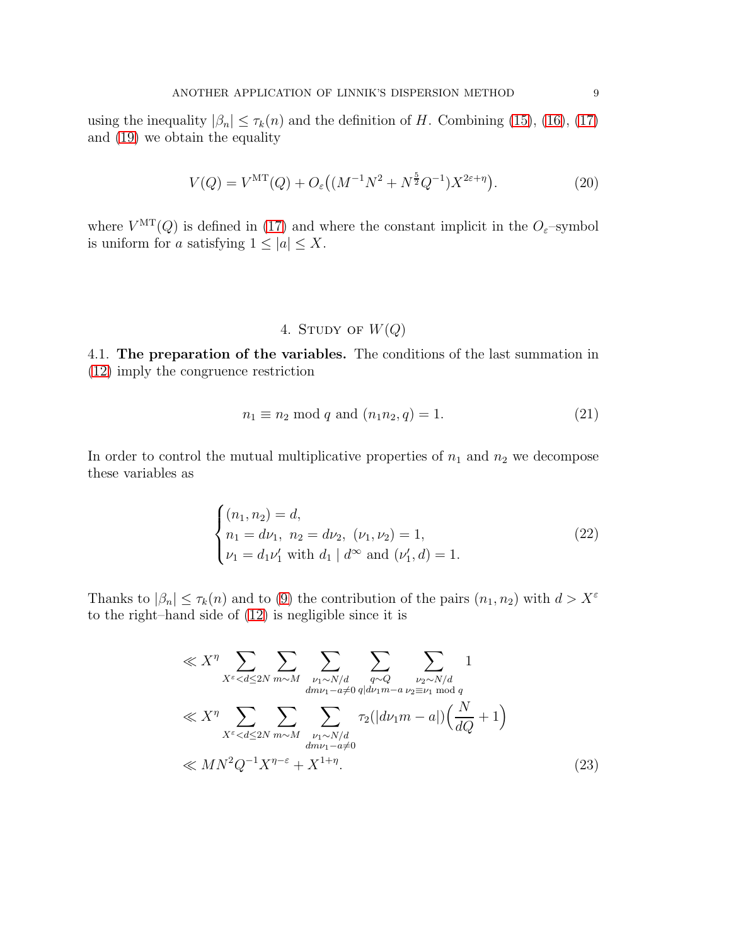using the inequality  $|\beta_n| \leq \tau_k(n)$  and the definition of H. Combining [\(15\)](#page-6-1), [\(16\)](#page-6-2), [\(17\)](#page-6-3) and [\(19\)](#page-7-1) we obtain the equality

<span id="page-8-3"></span>
$$
V(Q) = V^{\rm MT}(Q) + O_{\varepsilon}((M^{-1}N^2 + N^{\frac{5}{2}}Q^{-1})X^{2\varepsilon + \eta}).
$$
\n(20)

where  $V^{\text{MT}}(Q)$  is defined in [\(17\)](#page-6-3) and where the constant implicit in the  $O_{\varepsilon}$ -symbol is uniform for a satisfying  $1 \leq |a| \leq X$ .

# 4. STUDY OF  $W(Q)$

4.1. The preparation of the variables. The conditions of the last summation in [\(12\)](#page-6-4) imply the congruence restriction

<span id="page-8-1"></span>
$$
n_1 \equiv n_2 \bmod q \text{ and } (n_1 n_2, q) = 1. \tag{21}
$$

In order to control the mutual multiplicative properties of  $n_1$  and  $n_2$  we decompose these variables as

<span id="page-8-2"></span>
$$
\begin{cases}\n(n_1, n_2) = d, \nn_1 = d\nu_1, n_2 = d\nu_2, (\nu_1, \nu_2) = 1, \n\nu_1 = d_1\nu'_1 \text{ with } d_1 \mid d^\infty \text{ and } (\nu'_1, d) = 1.\n\end{cases}
$$
\n(22)

Thanks to  $|\beta_n| \leq \tau_k(n)$  and to [\(9\)](#page-5-0) the contribution of the pairs  $(n_1, n_2)$  with  $d > X^{\varepsilon}$ to the right–hand side of [\(12\)](#page-6-4) is negligible since it is

<span id="page-8-0"></span>
$$
\ll X^{\eta} \sum_{X^{\varepsilon} < d \le 2N} \sum_{m \sim M} \sum_{\substack{\nu_1 \sim N/d \\ d m \nu_1 - a \ne 0}} \sum_{\substack{q \sim Q \\ q | d \nu_1 m - a}} \sum_{\substack{\nu_2 \sim N/d \\ \nu_2 \equiv \nu_1 \mod q \\ \nu_1 \mod q}} 1
$$
\n
$$
\ll X^{\eta} \sum_{X^{\varepsilon} < d \le 2N} \sum_{m \sim M} \sum_{\substack{\nu_1 \sim N/d \\ d m \nu_1 - a \ne 0}} \tau_2(|d \nu_1 m - a|) \left(\frac{N}{dQ} + 1\right)
$$
\n
$$
\ll M N^2 Q^{-1} X^{\eta - \varepsilon} + X^{1 + \eta}.
$$
\n(23)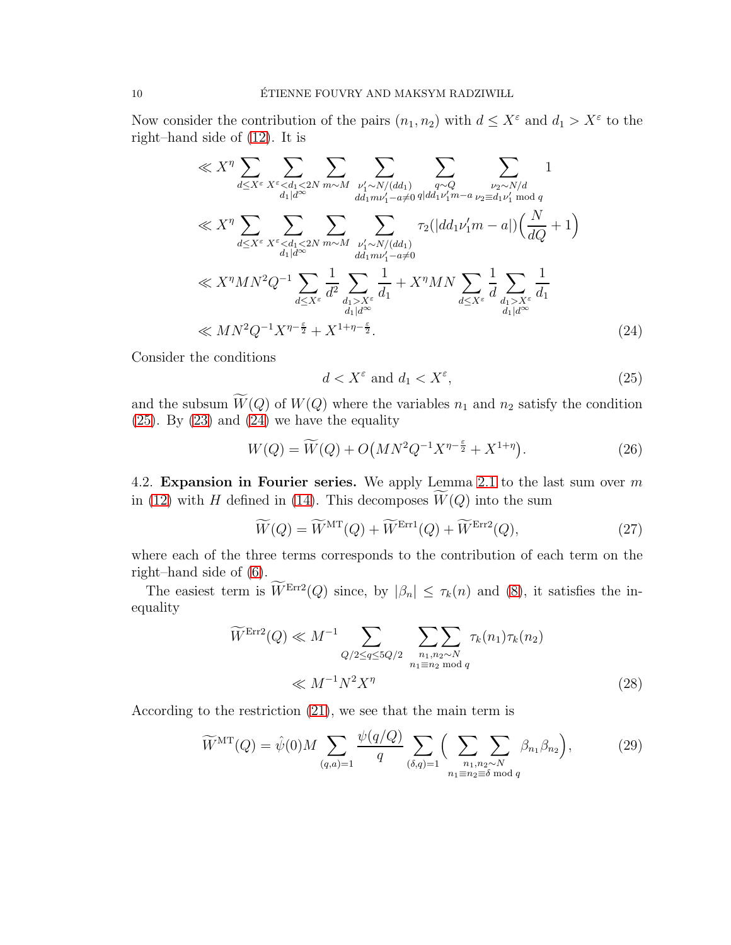Now consider the contribution of the pairs  $(n_1, n_2)$  with  $d \leq X^{\varepsilon}$  and  $d_1 > X^{\varepsilon}$  to the right–hand side of [\(12\)](#page-6-4). It is

$$
\ll X^{\eta} \sum_{d \le X^{\varepsilon}} \sum_{X^{\varepsilon} < d_1 < 2N} \sum_{m \sim M} \sum_{\substack{\nu_1' \sim N/(dd_1) \\ dd_1 m \nu_1' - a \neq 0}} \sum_{q \sim Q} \sum_{\substack{\nu_2 \sim N/d \\ \nu_1' \equiv d_1 \nu_1' \mod q}} 1
$$
\n
$$
\ll X^{\eta} \sum_{d \le X^{\varepsilon}} \sum_{X^{\varepsilon} < d_1 < 2N} \sum_{m \sim M} \sum_{\substack{\nu_1' \sim N/(dd_1) \\ dd_1 m \nu_1' - a \neq 0}} \tau_2 (|dd_1 \nu_1' m - a|) \left(\frac{N}{dQ} + 1\right)
$$
\n
$$
\ll X^{\eta} M N^2 Q^{-1} \sum_{d \le X^{\varepsilon}} \frac{1}{d^2} \sum_{\substack{d_1 > X^{\varepsilon} \\ d_1 | d^{\infty}}} \frac{1}{d^2} + X^{\eta} M N \sum_{d \le X^{\varepsilon}} \frac{1}{d} \sum_{\substack{d_1 > X^{\varepsilon} \\ d_1 | d^{\infty}}} \frac{1}{d^2} \sum_{\substack{d_1' \sim N \ll d_1 \\ d_1 | d^{\infty}}} \frac{1}{d^2} \sum_{d_1' \sim M} \frac{1}{d^2} \sum_{\substack{d_1' \sim M \\ d_1 | d^{\infty}}} \frac{1}{d^2} \sum_{d_1' \sim M} \frac{1}{d^2} \sum_{d_1' \sim M} \frac{1}{d^2} \sum_{d_1' \sim M} \frac{1}{d^2} \sum_{d_1' \sim M} \frac{1}{d^2} \sum_{d_1' \sim M} \frac{1}{d^2} \sum_{d_1' \sim M} \frac{1}{d^2} \sum_{d_1' \sim M} \frac{1}{d^2} \sum_{d_1' \sim M} \frac{1}{d^2} \sum_{d_1' \sim M} \frac{1}{d^2} \sum_{d_1' \sim M} \frac{1}{d^2} \sum_{d_1' \sim M} \frac{1}{d^2} \sum_{d_1' \sim M} \frac{1}{d^2} \sum_{d_1' \sim M
$$

Consider the conditions

<span id="page-9-1"></span><span id="page-9-0"></span>
$$
d < X^{\varepsilon} \text{ and } d_1 < X^{\varepsilon}, \tag{25}
$$

and the subsum  $\widetilde{W}(Q)$  of  $W(Q)$  where the variables  $n_1$  and  $n_2$  satisfy the condition  $(25)$ . By  $(23)$  and  $(24)$  we have the equality

<span id="page-9-3"></span>
$$
W(Q) = \widetilde{W}(Q) + O\left(MN^2Q^{-1}X^{\eta - \frac{\epsilon}{2}} + X^{1+\eta}\right).
$$
 (26)

4.2. Expansion in Fourier series. We apply Lemma [2.1](#page-3-1) to the last sum over  $m$ in [\(12\)](#page-6-4) with H defined in [\(14\)](#page-6-5). This decomposes  $W(Q)$  into the sum

<span id="page-9-4"></span>
$$
\widetilde{W}(Q) = \widetilde{W}^{\mathrm{MT}}(Q) + \widetilde{W}^{\mathrm{Err1}}(Q) + \widetilde{W}^{\mathrm{Err2}}(Q), \tag{27}
$$

where each of the three terms corresponds to the contribution of each term on the right–hand side of [\(6\)](#page-3-3).

The easiest term is  $\widetilde{W}^{\text{Err2}}(Q)$  since, by  $|\beta_n| \leq \tau_k(n)$  and [\(8\)](#page-5-1), it satisfies the inequality

<span id="page-9-5"></span>
$$
\widetilde{W}^{\text{Err2}}(Q) \ll M^{-1} \sum_{Q/2 \le q \le 5Q/2} \sum_{\substack{n_1, n_2 \sim N \\ n_1 \equiv n_2 \mod q}} \tau_k(n_1) \tau_k(n_2)
$$
\n
$$
\ll M^{-1} N^2 X^{\eta} \tag{28}
$$

According to the restriction [\(21\)](#page-8-1), we see that the main term is

<span id="page-9-2"></span>
$$
\widetilde{W}^{\mathrm{MT}}(Q) = \widehat{\psi}(0) M \sum_{(q,a)=1} \frac{\psi(q/Q)}{q} \sum_{(\delta,q)=1} \Big(\sum_{\substack{n_1,n_2 \sim N \\ n_1 \equiv n_2 \equiv \delta \bmod q}} \beta_{n_1} \beta_{n_2}\Big),\tag{29}
$$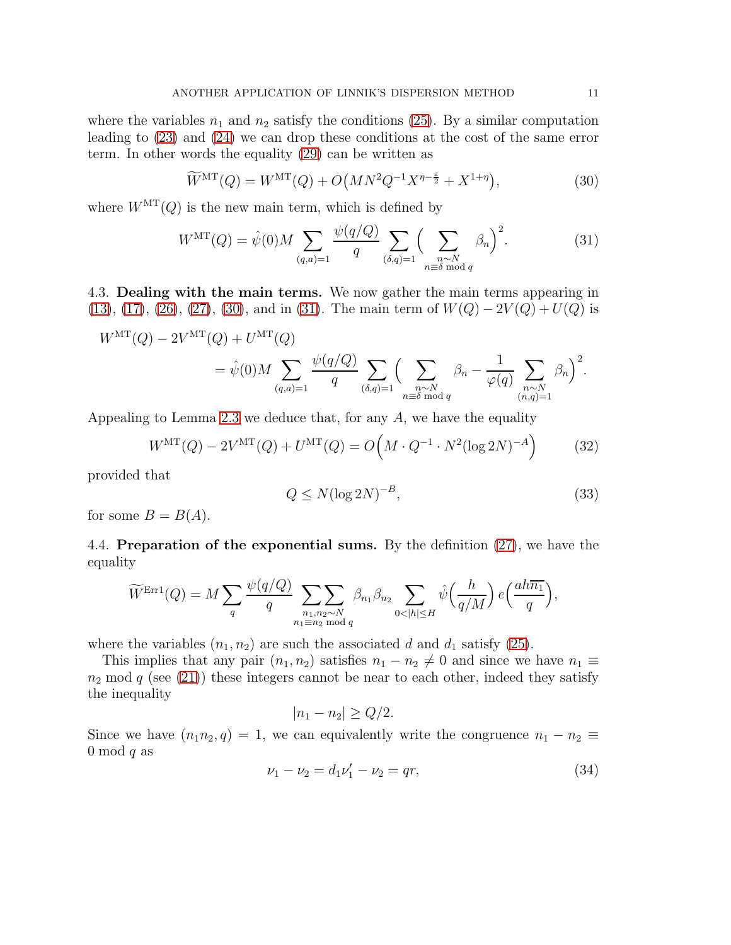where the variables  $n_1$  and  $n_2$  satisfy the conditions [\(25\)](#page-9-0). By a similar computation leading to [\(23\)](#page-8-0) and [\(24\)](#page-9-1) we can drop these conditions at the cost of the same error term. In other words the equality [\(29\)](#page-9-2) can be written as

<span id="page-10-0"></span>
$$
\widetilde{W}^{\rm MT}(Q) = W^{\rm MT}(Q) + O\left(MN^2Q^{-1}X^{\eta - \frac{\varepsilon}{2}} + X^{1+\eta}\right),\tag{30}
$$

where  $W<sup>MT</sup>(Q)$  is the new main term, which is defined by

<span id="page-10-1"></span>
$$
W^{\rm MT}(Q) = \hat{\psi}(0) M \sum_{(q,a)=1} \frac{\psi(q/Q)}{q} \sum_{(\delta,q)=1} \Big(\sum_{\substack{n \sim N \\ n \equiv \delta \bmod q}} \beta_n\Big)^2.
$$
 (31)

4.3. Dealing with the main terms. We now gather the main terms appearing in [\(13\)](#page-6-6), [\(17\)](#page-6-3), [\(26\)](#page-9-3), [\(27\)](#page-9-4), [\(30\)](#page-10-0), and in [\(31\)](#page-10-1). The main term of  $W(Q) - 2V(Q) + U(Q)$  is

$$
W^{\rm MT}(Q) - 2V^{\rm MT}(Q) + U^{\rm MT}(Q)
$$
  
=  $\hat{\psi}(0)M \sum_{(q,a)=1} \frac{\psi(q/Q)}{q} \sum_{(\delta,q)=1} \Big(\sum_{\substack{n \sim N \\ n \equiv \delta \bmod q}} \beta_n - \frac{1}{\varphi(q)} \sum_{\substack{n \sim N \\ (n,q)=1}} \beta_n \Big)^2.$ 

Appealing to Lemma [2.3](#page-4-2) we deduce that, for any  $A$ , we have the equality

<span id="page-10-3"></span>
$$
W^{\rm MT}(Q) - 2V^{\rm MT}(Q) + U^{\rm MT}(Q) = O\left(M \cdot Q^{-1} \cdot N^2 (\log 2N)^{-A}\right) \tag{32}
$$

provided that

<span id="page-10-4"></span>
$$
Q \le N(\log 2N)^{-B},\tag{33}
$$

for some  $B = B(A)$ .

4.4. Preparation of the exponential sums. By the definition [\(27\)](#page-9-4), we have the equality

$$
\widetilde{W}^{\text{Err1}}(Q) = M \sum_{q} \frac{\psi(q/Q)}{q} \sum_{\substack{n_1, n_2 \sim N \\ n_1 \equiv n_2 \bmod q}} \beta_{n_1} \beta_{n_2} \sum_{0 < |h| \le H} \hat{\psi}\left(\frac{h}{q/M}\right) e\left(\frac{ah\overline{n_1}}{q}\right),
$$

where the variables  $(n_1, n_2)$  are such the associated d and  $d_1$  satisfy [\(25\)](#page-9-0).

This implies that any pair  $(n_1, n_2)$  satisfies  $n_1 - n_2 \neq 0$  and since we have  $n_1 \equiv$  $n_2$  mod q (see [\(21\)](#page-8-1)) these integers cannot be near to each other, indeed they satisfy the inequality

$$
|n_1 - n_2| \ge Q/2.
$$

Since we have  $(n_1n_2, q) = 1$ , we can equivalently write the congruence  $n_1 - n_2 \equiv$ 0 mod  $q$  as

<span id="page-10-2"></span>
$$
\nu_1 - \nu_2 = d_1 \nu'_1 - \nu_2 = qr,\tag{34}
$$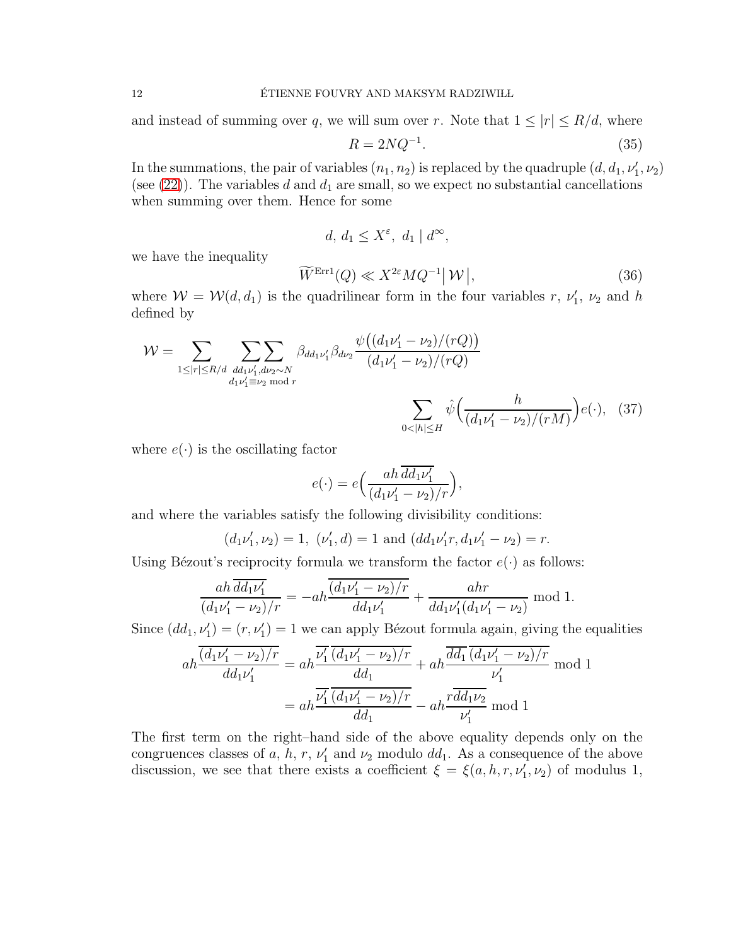and instead of summing over q, we will sum over r. Note that  $1 \leq |r| \leq R/d$ , where

<span id="page-11-1"></span>
$$
R = 2NQ^{-1}.\tag{35}
$$

In the summations, the pair of variables  $(n_1, n_2)$  is replaced by the quadruple  $(d, d_1, \nu'_1, \nu_2)$ (see  $(22)$ ). The variables d and  $d_1$  are small, so we expect no substantial cancellations when summing over them. Hence for some

$$
d, d_1 \le X^{\varepsilon}, d_1 \mid d^{\infty},
$$

we have the inequality

<span id="page-11-2"></span>
$$
\widetilde{W}^{\text{Err1}}(Q) \ll X^{2\varepsilon}MQ^{-1} |W|,
$$
\n(36)

where  $W = W(d, d_1)$  is the quadrilinear form in the four variables r,  $\nu'_1$ ,  $\nu_2$  and h defined by

$$
\mathcal{W} = \sum_{1 \leq |r| \leq R/d} \sum_{\substack{dd_1 \nu'_1, d\nu_2 \sim N \\ d_1 \nu'_1 \equiv \nu_2 \bmod r}} \beta_{dd_1 \nu'_1} \beta_{d\nu_2} \frac{\psi((d_1 \nu'_1 - \nu_2)/(rQ))}{(d_1 \nu'_1 - \nu_2)/(rQ)} \sum_{0 < |h| \leq H} \hat{\psi} \Big(\frac{h}{(d_1 \nu'_1 - \nu_2)/(rM)}\Big) e(\cdot), \quad (37)
$$

where  $e(\cdot)$  is the oscillating factor

<span id="page-11-0"></span>
$$
e(\cdot) = e\left(\frac{ah \overline{dd_1\nu'_1}}{(d_1\nu'_1 - \nu_2)/r}\right),\,
$$

and where the variables satisfy the following divisibility conditions:

$$
(d_1\nu'_1, \nu_2) = 1
$$
,  $(\nu'_1, d) = 1$  and  $(dd_1\nu'_1r, d_1\nu'_1 - \nu_2) = r$ .

Using Bézout's reciprocity formula we transform the factor  $e(\cdot)$  as follows:

$$
\frac{ah \overline{dd_1\nu'_1}}{(d_1\nu'_1 - \nu_2)/r} = -ah \frac{\overline{(d_1\nu'_1 - \nu_2)/r}}{dd_1\nu'_1} + \frac{ahr}{dd_1\nu'_1(d_1\nu'_1 - \nu_2)} \mod 1.
$$

Since  $(dd_1, \nu'_1) = (r, \nu'_1) = 1$  we can apply Bézout formula again, giving the equalities

$$
ah \frac{\overline{(d_1\nu'_1 - \nu_2)/r}}{dd_1\nu'_1} = ah \frac{\overline{\nu'_1} (d_1\nu'_1 - \nu_2)/r}{dd_1} + ah \frac{\overline{dd_1} (d_1\nu'_1 - \nu_2)/r}{\nu'_1}
$$
mod 1  
= 
$$
ah \frac{\overline{\nu'_1 (d_1\nu'_1 - \nu_2)/r}}{dd_1} - ah \frac{r\overline{dd_1}\nu_2}{\nu'_1}
$$
mod 1

The first term on the right–hand side of the above equality depends only on the congruences classes of a, h, r,  $\nu'_1$  and  $\nu_2$  modulo dd<sub>1</sub>. As a consequence of the above discussion, we see that there exists a coefficient  $\xi = \xi(a, h, r, \nu'_1, \nu_2)$  of modulus 1,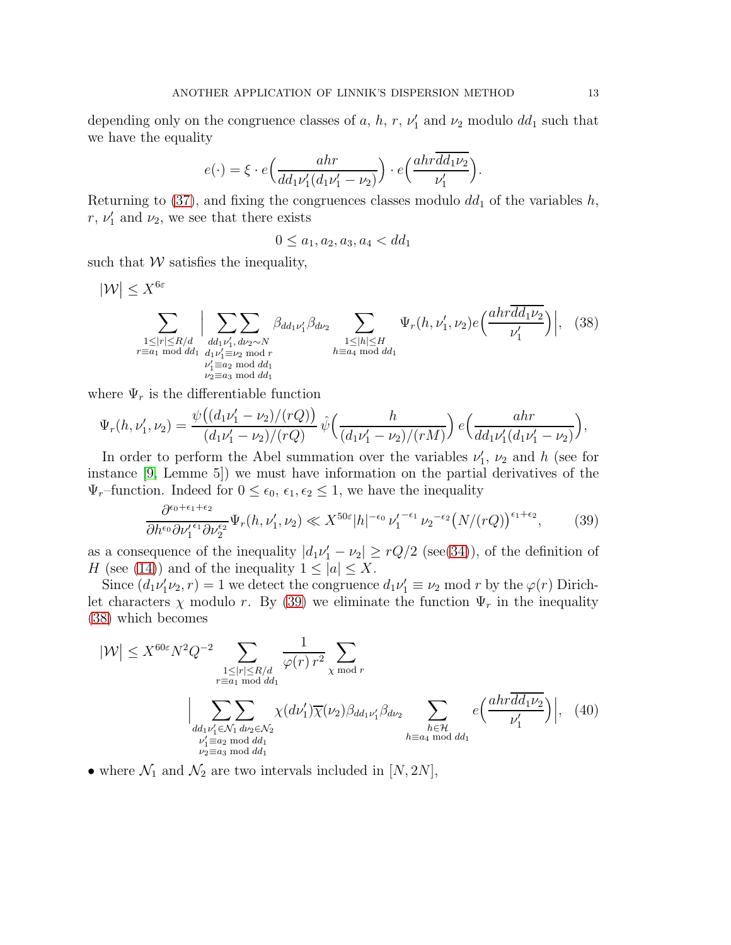depending only on the congruence classes of a, h, r,  $\nu'_1$  and  $\nu_2$  modulo  $dd_1$  such that we have the equality

$$
e(\cdot) = \xi \cdot e\left(\frac{ahr}{dd_1\nu'_1(d_1\nu'_1 - \nu_2)}\right) \cdot e\left(\frac{ahr\overline{dd_1\nu_2}}{\nu'_1}\right).
$$

Returning to  $(37)$ , and fixing the congruences classes modulo  $dd_1$  of the variables h, r,  $\nu'_1$  and  $\nu_2$ , we see that there exists

<span id="page-12-1"></span>
$$
0 \le a_1, a_2, a_3, a_4 < dd_1
$$

such that  $W$  satisfies the inequality,

$$
|\mathcal{W}| \leq X^{6\varepsilon}
$$
\n
$$
\sum_{\substack{1 \leq |r| \leq R/d\\r \equiv a_1 \bmod{dd_1}}} \left| \sum_{\substack{dd_1 \nu'_1, d\nu_2 \sim N\\dd_1 \nu'_1 \equiv \nu_2 \bmod{r}\\ \nu'_1 \equiv a_2 \bmod{dd_1}}} \beta_{dd_1 \nu'_1} \beta_{d\nu_2} \sum_{\substack{1 \leq |h| \leq H\\h \equiv a_4 \bmod{dd_1}}} \Psi_r(h, \nu'_1, \nu_2) e\left(\frac{ahr \overline{dd_1 \nu_2}}{\nu'_1}\right)\right|, (38)
$$
\n
$$
\sum_{\substack{r \equiv a_1 \bmod{dd_1}\\ \nu'_2 \equiv a_2 \bmod{dd_1}\\ \nu_2 \equiv a_3 \bmod{dd_1}}} \Psi_r(h, \nu'_1, \nu'_2) e\left(\frac{ahr \overline{dd_1 \nu_2}}{\nu'_1}\right)
$$

where  $\Psi_r$  is the differentiable function

$$
\Psi_r(h, \nu'_1, \nu_2) = \frac{\psi((d_1\nu'_1 - \nu_2)/(rQ))}{(d_1\nu'_1 - \nu_2)/(rQ)} \hat{\psi}\left(\frac{h}{(d_1\nu'_1 - \nu_2)/(rM)}\right) e\left(\frac{ahr}{dd_1\nu'_1(d_1\nu'_1 - \nu_2)}\right),
$$

In order to perform the Abel summation over the variables  $\nu'_1$ ,  $\nu_2$  and h (see for instance [\[9,](#page-17-5) Lemme 5]) we must have information on the partial derivatives of the  $\Psi_r$ –function. Indeed for  $0 \leq \epsilon_0, \epsilon_1, \epsilon_2 \leq 1$ , we have the inequality

<span id="page-12-2"></span><span id="page-12-0"></span>
$$
\frac{\partial^{\epsilon_0+\epsilon_1+\epsilon_2}}{\partial h^{\epsilon_0}\partial \nu_1^{\epsilon_1}\partial \nu_2^{\epsilon_2}}\Psi_r(h,\nu_1^{\prime},\nu_2)\ll X^{50\varepsilon}|h|^{-\epsilon_0}\nu_1^{\prime-\epsilon_1}\nu_2^{-\epsilon_2}\big(N/(rQ)\big)^{\epsilon_1+\epsilon_2},\qquad(39)
$$

as a consequence of the inequality  $|d_1\nu'_1 - \nu_2| \geq rQ/2$  (see[\(34\)](#page-10-2)), of the definition of H (see [\(14\)](#page-6-5)) and of the inequality  $1 \leq |a| \leq X$ .

Since  $(d_1\nu'_1\nu_2, r) = 1$  we detect the congruence  $d_1\nu'_1 \equiv \nu_2 \mod r$  by the  $\varphi(r)$  Dirichlet characters  $\chi$  modulo r. By [\(39\)](#page-12-0) we eliminate the function  $\Psi_r$  in the inequality [\(38\)](#page-12-1) which becomes

$$
|\mathcal{W}| \le X^{60\varepsilon} N^2 Q^{-2} \sum_{\substack{1 \le |r| \le R/d \\ r \equiv a_1 \bmod{dd_1} \\ d d_1 \nu'_1 \in \mathcal{N}_1 d \nu_2 \in \mathcal{N}_2}} \frac{1}{\varphi(r) r^2} \sum_{\chi \bmod r} \left( \frac{dr \overline{dd_1 \nu_2}}{\nu'_1} \right)
$$
\n
$$
\Big| \sum_{\substack{dd_1 \nu'_1 \in \mathcal{N}_1 d \nu_2 \in \mathcal{N}_2 \\ \nu'_1 \equiv a_2 \bmod{dd_1} \\ \nu_2 \equiv a_3 \bmod{dd_1}}} \frac{1}{\varphi(r) r^2} \sum_{\chi \bmod r} \left( \frac{dr \overline{dd_1 \nu_2}}{\nu'_1} \right) \Big|, \quad (40)
$$

• where  $\mathcal{N}_1$  and  $\mathcal{N}_2$  are two intervals included in  $[N, 2N]$ ,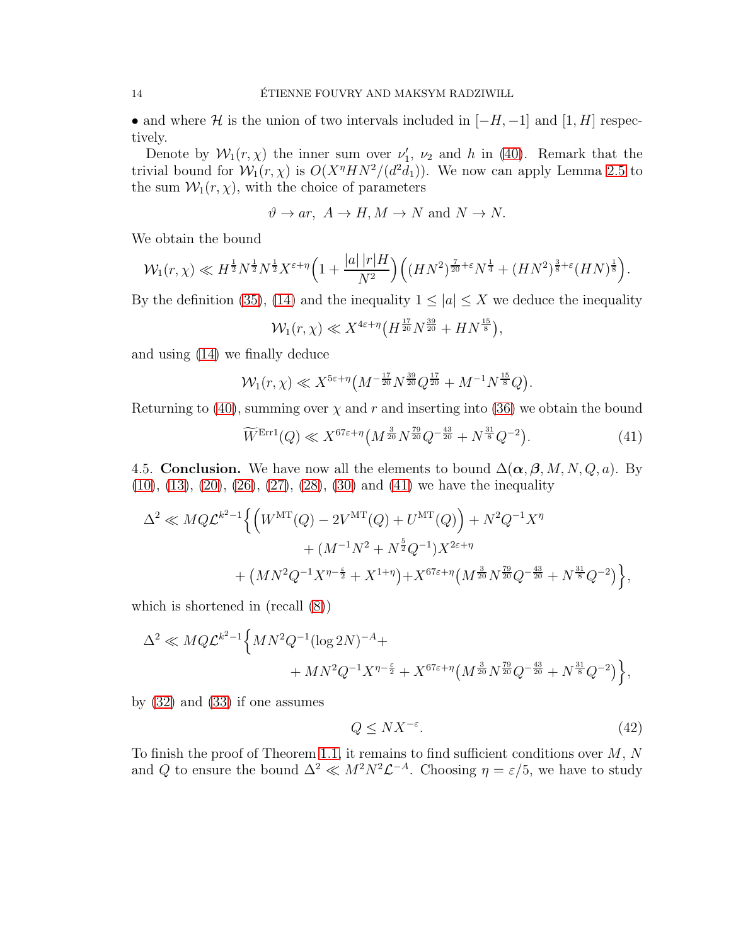• and where H is the union of two intervals included in  $[-H, -1]$  and  $[1, H]$  respectively.

Denote by  $W_1(r, \chi)$  the inner sum over  $\nu'_1$ ,  $\nu_2$  and h in [\(40\)](#page-12-2). Remark that the trivial bound for  $W_1(r, \chi)$  is  $O(X^n H N^2 / (d^2 d_1))$ . We now can apply Lemma [2.5](#page-5-2) to the sum  $\mathcal{W}_1(r, \chi)$ , with the choice of parameters

$$
\vartheta \to ar, A \to H, M \to N \text{ and } N \to N.
$$

We obtain the bound

$$
\mathcal{W}_1(r,\chi) \ll H^{\frac{1}{2}} N^{\frac{1}{2}} N^{\frac{1}{2}} X^{\varepsilon+\eta} \Big(1+\frac{|a|\,|r|H}{N^2}\Big) \Big((HN^2)^{\frac{7}{20}+\varepsilon} N^{\frac{1}{4}}+(HN^2)^{\frac{3}{8}+\varepsilon}(HN)^{\frac{1}{8}}\Big).
$$

By the definition [\(35\)](#page-11-1), [\(14\)](#page-6-5) and the inequality  $1 \leq |a| \leq X$  we deduce the inequality

$$
\mathcal{W}_1(r,\chi) \ll X^{4\varepsilon + \eta} \big( H^{\frac{17}{20}} N^{\frac{39}{20}} + H N^{\frac{15}{8}} \big),
$$

and using [\(14\)](#page-6-5) we finally deduce

$$
\mathcal{W}_1(r,\chi) \ll X^{5\varepsilon + \eta} \left( M^{-\frac{17}{20}} N^{\frac{39}{20}} Q^{\frac{17}{20}} + M^{-1} N^{\frac{15}{8}} Q \right).
$$

Returning to [\(40\)](#page-12-2), summing over  $\chi$  and r and inserting into [\(36\)](#page-11-2) we obtain the bound

<span id="page-13-0"></span>
$$
\widetilde{W}^{\text{Err1}}(Q) \ll X^{67\varepsilon + \eta} \left( M^{\frac{3}{20}} N^{\frac{79}{20}} Q^{-\frac{43}{20}} + N^{\frac{31}{8}} Q^{-2} \right). \tag{41}
$$

4.5. Conclusion. We have now all the elements to bound  $\Delta(\boldsymbol{\alpha}, \boldsymbol{\beta}, M, N, Q, a)$ . By [\(10\)](#page-5-3), [\(13\)](#page-6-6), [\(20\)](#page-8-3), [\(26\)](#page-9-3), [\(27\)](#page-9-4), [\(28\)](#page-9-5), [\(30\)](#page-10-0) and [\(41\)](#page-13-0) we have the inequality

$$
\Delta^2 \ll MQ\mathcal{L}^{k^2-1}\Big\{\Big(W^{\rm MT}(Q) - 2V^{\rm MT}(Q) + U^{\rm MT}(Q)\Big) + N^2Q^{-1}X^{\eta} + (M^{-1}N^2 + N^{\frac{5}{2}}Q^{-1})X^{2\varepsilon + \eta} + (MN^2Q^{-1}X^{\eta - \frac{\varepsilon}{2}} + X^{1+\eta}) + X^{67\varepsilon + \eta}\Big(M^{\frac{3}{20}}N^{\frac{79}{20}}Q^{-\frac{43}{20}} + N^{\frac{31}{8}}Q^{-2}\Big)\Big\},
$$

which is shortened in (recall [\(8\)](#page-5-1))

$$
\Delta^2 \ll MQ\mathcal{L}^{k^2-1}\Big\{MN^2Q^{-1}(\log 2N)^{-A} ++ MN^2Q^{-1}X^{\eta-\frac{\epsilon}{2}} + X^{67\epsilon+\eta}\left(M^{\frac{3}{20}}N^{\frac{79}{20}}Q^{-\frac{43}{20}} + N^{\frac{31}{8}}Q^{-2}\right)\Big\},\,
$$

by [\(32\)](#page-10-3) and [\(33\)](#page-10-4) if one assumes

<span id="page-13-1"></span>
$$
Q \leq N X^{-\varepsilon}.\tag{42}
$$

To finish the proof of Theorem [1.1,](#page-2-0) it remains to find sufficient conditions over  $M, N$ and Q to ensure the bound  $\Delta^2 \ll M^2 N^2 \mathcal{L}^{-A}$ . Choosing  $\eta = \varepsilon/5$ , we have to study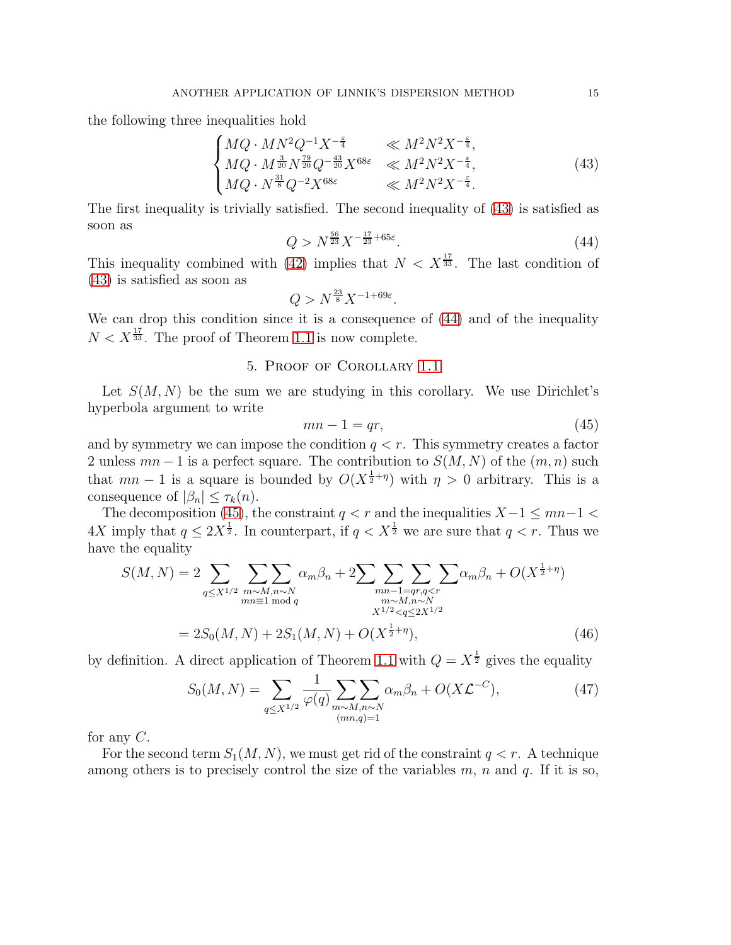the following three inequalities hold

<span id="page-14-1"></span>
$$
\begin{cases}\nMQ \cdot MN^{2}Q^{-1}X^{-\frac{\varepsilon}{4}} & \ll M^{2}N^{2}X^{-\frac{\varepsilon}{4}},\\ \nMQ \cdot M^{\frac{3}{20}}N^{\frac{79}{20}}Q^{-\frac{43}{20}}X^{68\varepsilon} & \ll M^{2}N^{2}X^{-\frac{\varepsilon}{4}},\\ \nMQ \cdot N^{\frac{31}{8}}Q^{-2}X^{68\varepsilon} & \ll M^{2}N^{2}X^{-\frac{\varepsilon}{4}}.\n\end{cases}
$$
\n(43)

The first inequality is trivially satisfied. The second inequality of [\(43\)](#page-14-1) is satisfied as soon as

<span id="page-14-2"></span>
$$
Q > N^{\frac{56}{23}} X^{-\frac{17}{23} + 65\varepsilon}.
$$
\n(44)

This inequality combined with [\(42\)](#page-13-1) implies that  $N < X^{\frac{17}{33}}$ . The last condition of [\(43\)](#page-14-1) is satisfied as soon as

$$
Q > N^{\frac{23}{8}} X^{-1+69\varepsilon}.
$$

<span id="page-14-0"></span>We can drop this condition since it is a consequence of [\(44\)](#page-14-2) and of the inequality  $N < X^{\frac{17}{33}}$ . The proof of Theorem [1.1](#page-2-0) is now complete.

## 5. Proof of Corollary [1.1](#page-2-2)

Let  $S(M, N)$  be the sum we are studying in this corollary. We use Dirichlet's hyperbola argument to write

<span id="page-14-4"></span><span id="page-14-3"></span>
$$
mn - 1 = qr,\t\t(45)
$$

and by symmetry we can impose the condition  $q < r$ . This symmetry creates a factor 2 unless  $mn-1$  is a perfect square. The contribution to  $S(M, N)$  of the  $(m, n)$  such that  $mn-1$  is a square is bounded by  $O(X^{\frac{1}{2}+\eta})$  with  $\eta > 0$  arbitrary. This is a consequence of  $|\beta_n| \leq \tau_k(n)$ .

The decomposition [\(45\)](#page-14-3), the constraint  $q < r$  and the inequalities  $X-1 \le mn-1$  $4X$  imply that  $q \leq 2X^{\frac{1}{2}}$ . In counterpart, if  $q < X^{\frac{1}{2}}$  we are sure that  $q < r$ . Thus we have the equality

$$
S(M, N) = 2 \sum_{q \le X^{1/2}} \sum_{\substack{m \sim M, n \sim N \\ mn \equiv 1 \bmod q}} \alpha_m \beta_n + 2 \sum_{\substack{mn-1 = qr, q < r \\ m \sim M, n \sim N \\ X^{1/2} < q \le 2X^{1/2}}} \sum_{\substack{m \sim M, n \sim N \\ N^{1/2} < q \le 2X^{1/2}}} \alpha_m \beta_n + O(X^{\frac{1}{2} + \eta})
$$
\n
$$
= 2S_0(M, N) + 2S_1(M, N) + O(X^{\frac{1}{2} + \eta}), \tag{46}
$$

by definition. A direct application of Theorem [1.1](#page-2-0) with  $Q = X^{\frac{1}{2}}$  gives the equality

<span id="page-14-5"></span>
$$
S_0(M, N) = \sum_{q \le X^{1/2}} \frac{1}{\varphi(q)} \sum_{\substack{m \sim M, n \sim N \\ (mn,q)=1}} \alpha_m \beta_n + O(X\mathcal{L}^{-C}), \tag{47}
$$

for any  $C$ .

For the second term  $S_1(M, N)$ , we must get rid of the constraint  $q < r$ . A technique among others is to precisely control the size of the variables  $m$ ,  $n$  and  $q$ . If it is so,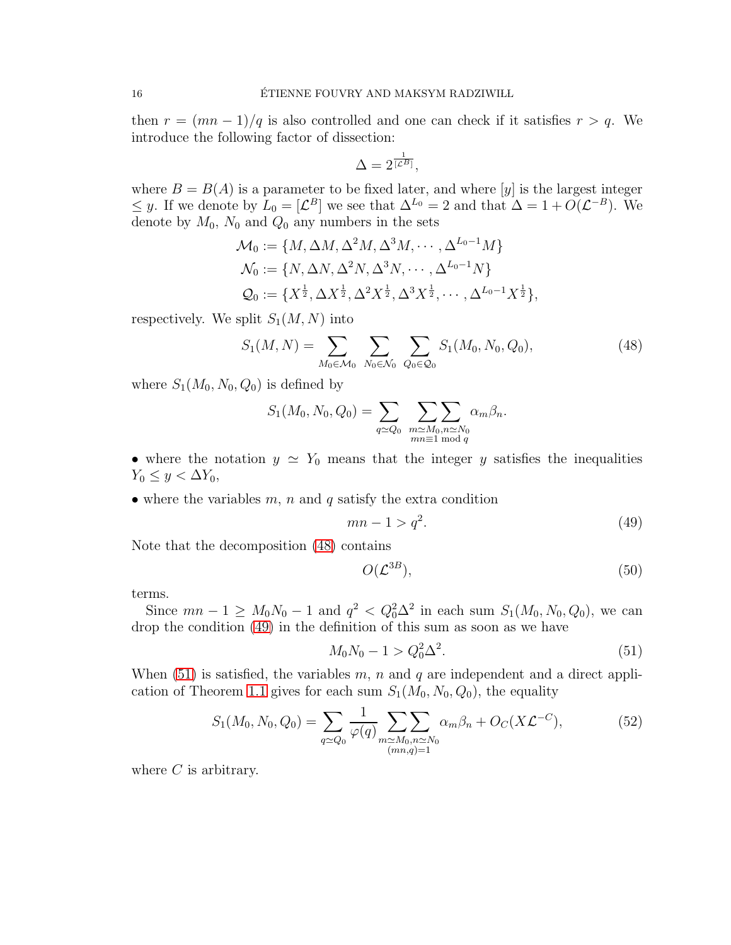then  $r = (mn - 1)/q$  is also controlled and one can check if it satisfies  $r > q$ . We introduce the following factor of dissection:

$$
\Delta = 2^{\frac{1}{[\mathcal{L}^B]}},
$$

where  $B = B(A)$  is a parameter to be fixed later, and where  $[y]$  is the largest integer  $\leq y$ . If we denote by  $L_0 = [L^B]$  we see that  $\Delta^{L_0} = 2$  and that  $\Delta = 1 + O(L^{-B})$ . We denote by  $M_0$ ,  $N_0$  and  $Q_0$  any numbers in the sets

$$
\mathcal{M}_0 := \{ M, \Delta M, \Delta^2 M, \Delta^3 M, \cdots, \Delta^{L_0 - 1} M \}
$$
  
\n
$$
\mathcal{N}_0 := \{ N, \Delta N, \Delta^2 N, \Delta^3 N, \cdots, \Delta^{L_0 - 1} N \}
$$
  
\n
$$
\mathcal{Q}_0 := \{ X^{\frac{1}{2}}, \Delta X^{\frac{1}{2}}, \Delta^2 X^{\frac{1}{2}}, \Delta^3 X^{\frac{1}{2}}, \cdots, \Delta^{L_0 - 1} X^{\frac{1}{2}} \},
$$

respectively. We split  $S_1(M, N)$  into

<span id="page-15-0"></span>
$$
S_1(M, N) = \sum_{M_0 \in \mathcal{M}_0} \sum_{N_0 \in \mathcal{N}_0} \sum_{Q_0 \in \mathcal{Q}_0} S_1(M_0, N_0, Q_0), \tag{48}
$$

where  $S_1(M_0, N_0, Q_0)$  is defined by

$$
S_1(M_0, N_0, Q_0) = \sum_{q \simeq Q_0} \sum_{\substack{m \simeq M_0, n \simeq N_0 \\ mn \equiv 1 \bmod q}} \alpha_m \beta_n.
$$

• where the notation  $y \simeq Y_0$  means that the integer y satisfies the inequalities  $Y_0 \leq y < \Delta Y_0$ ,

• where the variables  $m$ ,  $n$  and  $q$  satisfy the extra condition

<span id="page-15-1"></span>
$$
mn - 1 > q^2. \tag{49}
$$

Note that the decomposition [\(48\)](#page-15-0) contains

<span id="page-15-3"></span>
$$
O(\mathcal{L}^{3B}),\tag{50}
$$

terms.

Since  $mn - 1 \ge M_0 N_0 - 1$  and  $q^2 < Q_0^2 \Delta^2$  in each sum  $S_1(M_0, N_0, Q_0)$ , we can drop the condition [\(49\)](#page-15-1) in the definition of this sum as soon as we have

<span id="page-15-2"></span>
$$
M_0 N_0 - 1 > Q_0^2 \Delta^2. \tag{51}
$$

When  $(51)$  is satisfied, the variables m, n and q are independent and a direct appli-cation of Theorem [1.1](#page-2-0) gives for each sum  $S_1(M_0, N_0, Q_0)$ , the equality

<span id="page-15-4"></span>
$$
S_1(M_0, N_0, Q_0) = \sum_{q \simeq Q_0} \frac{1}{\varphi(q)} \sum_{\substack{m \simeq M_0, n \simeq N_0 \\ (mn,q)=1}} \alpha_m \beta_n + O_C(X\mathcal{L}^{-C}), \tag{52}
$$

where  $C$  is arbitrary.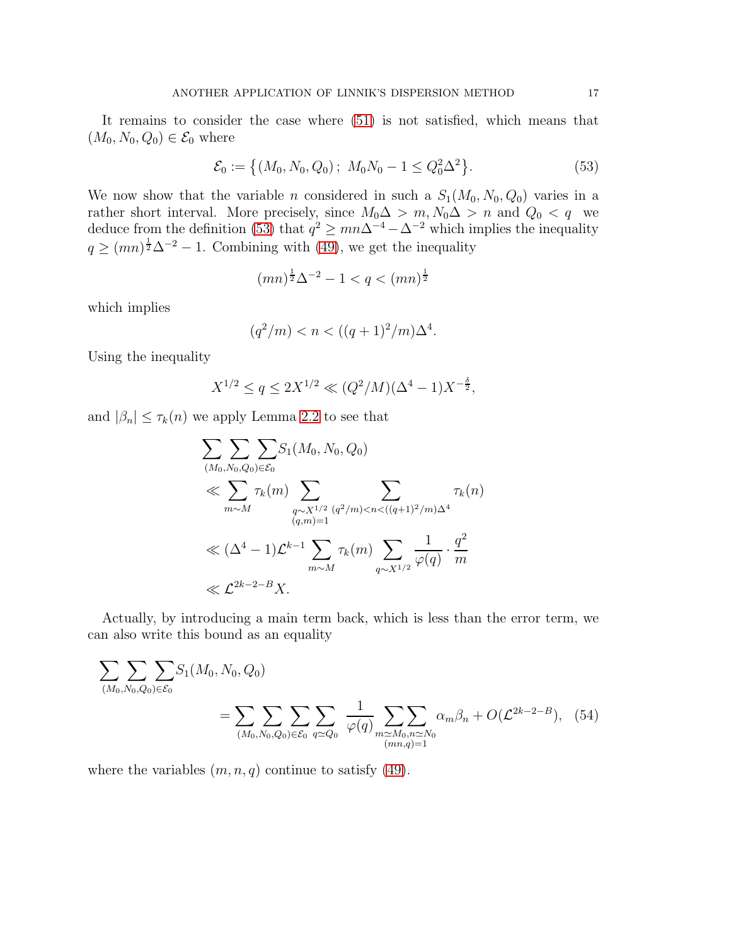It remains to consider the case where [\(51\)](#page-15-2) is not satisfied, which means that  $(M_0, N_0, Q_0) \in \mathcal{E}_0$  where

<span id="page-16-0"></span>
$$
\mathcal{E}_0 := \left\{ (M_0, N_0, Q_0) \, ; \, M_0 N_0 - 1 \le Q_0^2 \Delta^2 \right\}.
$$
\n(53)

We now show that the variable *n* considered in such a  $S_1(M_0, N_0, Q_0)$  varies in a rather short interval. More precisely, since  $M_0 \Delta > m$ ,  $N_0 \Delta > n$  and  $Q_0 < q$  we deduce from the definition [\(53\)](#page-16-0) that  $q^2 \ge mn\Delta^{-4} - \Delta^{-2}$  which implies the inequality  $q \geq (mn)^{\frac{1}{2}}\Delta^{-2} - 1$ . Combining with [\(49\)](#page-15-1), we get the inequality

$$
(mn)^{\frac{1}{2}}\Delta^{-2} - 1 < q < (mn)^{\frac{1}{2}}
$$

which implies

$$
(q^2/m) < n < \left( (q+1)^2/m \right) \Delta^4.
$$

Using the inequality

$$
X^{1/2} \le q \le 2X^{1/2} \ll (Q^2/M)(\Delta^4 - 1)X^{-\frac{\delta}{2}},
$$

and  $|\beta_n| \leq \tau_k(n)$  we apply Lemma [2.2](#page-4-1) to see that

<span id="page-16-1"></span>
$$
\sum_{(M_0, N_0, Q_0) \in \mathcal{E}_0} \sum_{(M_0, N_0, Q_0) \in \mathcal{E}_0} S_1(M_0, N_0, Q_0)
$$
\n
$$
\ll \sum_{m \sim M} \tau_k(m) \sum_{\substack{q \sim X^{1/2} \ (q^2/m) < n < ((q+1)^2/m)\Delta^4}} \tau_k(n)
$$
\n
$$
\ll (\Delta^4 - 1)\mathcal{L}^{k-1} \sum_{m \sim M} \tau_k(m) \sum_{q \sim X^{1/2}} \frac{1}{\varphi(q)} \cdot \frac{q^2}{m}
$$
\n
$$
\ll \mathcal{L}^{2k-2-B} X.
$$

Actually, by introducing a main term back, which is less than the error term, we can also write this bound as an equality

$$
\sum_{(M_0, N_0, Q_0) \in \mathcal{E}_0} \sum_{(M_0, N_0, Q_0) \in \mathcal{E}_0} S_1(M_0, N_0, Q_0)
$$
\n
$$
= \sum_{(M_0, N_0, Q_0) \in \mathcal{E}_0} \sum_{q \simeq Q_0} \frac{1}{\varphi(q)} \sum_{\substack{m \simeq M_0, n \simeq N_0 \\ (mn,q)=1}} \alpha_m \beta_n + O(\mathcal{L}^{2k-2-B}), \quad (54)
$$

where the variables  $(m, n, q)$  continue to satisfy [\(49\)](#page-15-1).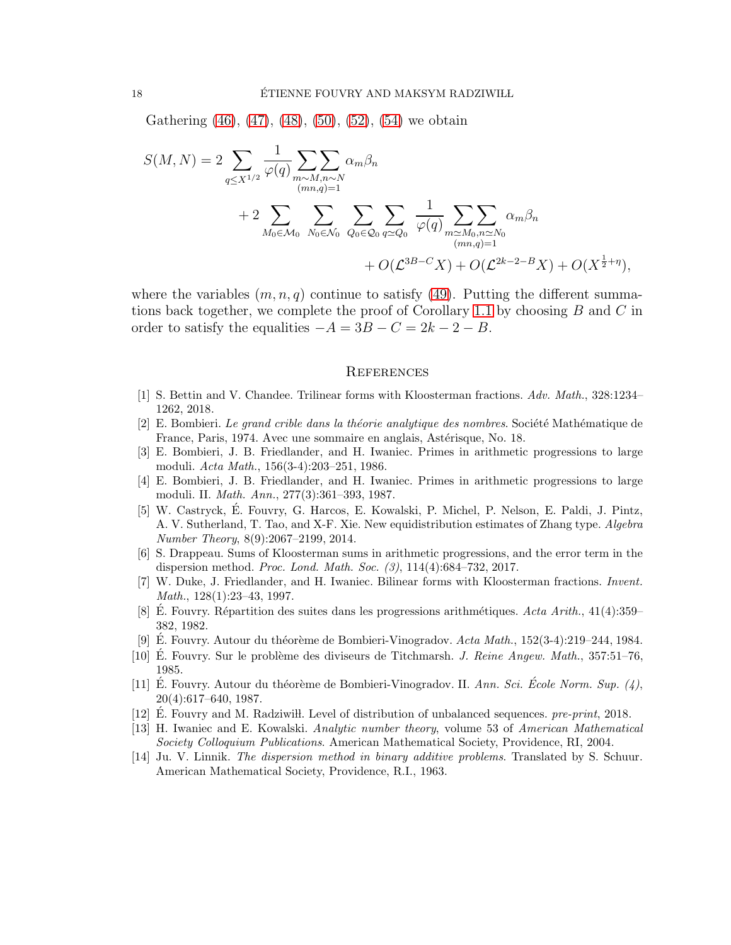Gathering  $(46)$ ,  $(47)$ ,  $(48)$ ,  $(50)$ ,  $(52)$ ,  $(54)$  we obtain

$$
S(M, N) = 2 \sum_{q \le X^{1/2}} \frac{1}{\varphi(q)} \sum_{\substack{m \sim M, n \sim N \\ (mn,q)=1}} \alpha_m \beta_n + 2 \sum_{M_0 \in \mathcal{M}_0} \sum_{N_0 \in \mathcal{N}_0} \sum_{Q_0 \in \mathcal{Q}_0} \sum_{q \simeq Q_0} \frac{1}{\varphi(q)} \sum_{\substack{m \simeq M_0, n \simeq N_0 \\ (mn,q)=1}} \alpha_m \beta_n + O(\mathcal{L}^{3B-C}X) + O(\mathcal{L}^{2k-2-B}X) + O(X^{\frac{1}{2}+\eta}),
$$

where the variables  $(m, n, q)$  continue to satisfy [\(49\)](#page-15-1). Putting the different summa-tions back together, we complete the proof of Corollary [1.1](#page-2-2) by choosing  $B$  and  $C$  in order to satisfy the equalities  $-A = 3B - C = 2k - 2 - B$ .

#### **REFERENCES**

- <span id="page-17-9"></span><span id="page-17-0"></span>[1] S. Bettin and V. Chandee. Trilinear forms with Kloosterman fractions. Adv. Math., 328:1234– 1262, 2018.
- <span id="page-17-4"></span> $[2]$  E. Bombieri. Le grand crible dans la théorie analytique des nombres. Société Mathématique de France, Paris, 1974. Avec une sommaire en anglais, Astérisque, No. 18.
- [3] E. Bombieri, J. B. Friedlander, and H. Iwaniec. Primes in arithmetic progressions to large moduli. Acta Math., 156(3-4):203–251, 1986.
- <span id="page-17-13"></span>[4] E. Bombieri, J. B. Friedlander, and H. Iwaniec. Primes in arithmetic progressions to large moduli. II. Math. Ann., 277(3):361–393, 1987.
- <span id="page-17-1"></span>[5] W. Castryck, E. Fouvry, G. Harcos, E. Kowalski, P. Michel, P. Nelson, E. Paldi, J. Pintz, A. V. Sutherland, T. Tao, and X-F. Xie. New equidistribution estimates of Zhang type. Algebra Number Theory, 8(9):2067–2199, 2014.
- <span id="page-17-12"></span>[6] S. Drappeau. Sums of Kloosterman sums in arithmetic progressions, and the error term in the dispersion method. Proc. Lond. Math. Soc. (3), 114(4):684–732, 2017.
- <span id="page-17-10"></span>[7] W. Duke, J. Friedlander, and H. Iwaniec. Bilinear forms with Kloosterman fractions. Invent. Math., 128(1):23–43, 1997.
- <span id="page-17-8"></span>[8] É. Fouvry. Répartition des suites dans les progressions arithmétiques. Acta Arith.,  $41(4):359-$ 382, 1982.
- <span id="page-17-11"></span><span id="page-17-5"></span>[9] E. Fouvry. Autour du théorème de Bombieri-Vinogradov.  $Acta Math., 152(3-4):219-244, 1984.$
- [10] E. Fouvry. Sur le problème des diviseurs de Titchmarsh. J. Reine Angew. Math.,  $357:51-76$ , 1985.
- <span id="page-17-6"></span>[11] E. Fouvry. Autour du théorème de Bombieri-Vinogradov. II. Ann. Sci. École Norm. Sup. (4), 20(4):617–640, 1987.
- <span id="page-17-7"></span><span id="page-17-2"></span>[12] E. Fouvry and M. Radziwih. Level of distribution of unbalanced sequences. pre-print, 2018.
- [13] H. Iwaniec and E. Kowalski. Analytic number theory, volume 53 of American Mathematical Society Colloquium Publications. American Mathematical Society, Providence, RI, 2004.
- <span id="page-17-3"></span>[14] Ju. V. Linnik. The dispersion method in binary additive problems. Translated by S. Schuur. American Mathematical Society, Providence, R.I., 1963.